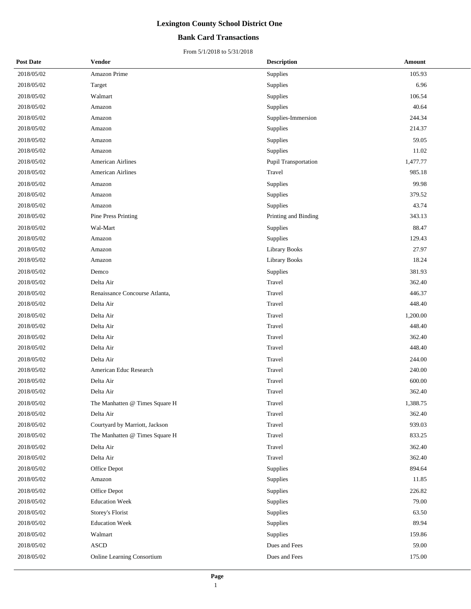### **Bank Card Transactions**

| <b>Post Date</b> | <b>Vendor</b>                  | <b>Description</b>   | Amount   |
|------------------|--------------------------------|----------------------|----------|
| 2018/05/02       | Amazon Prime                   | Supplies             | 105.93   |
| 2018/05/02       | Target                         | Supplies             | 6.96     |
| 2018/05/02       | Walmart                        | Supplies             | 106.54   |
| 2018/05/02       | Amazon                         | Supplies             | 40.64    |
| 2018/05/02       | Amazon                         | Supplies-Immersion   | 244.34   |
| 2018/05/02       | Amazon                         | Supplies             | 214.37   |
| 2018/05/02       | Amazon                         | Supplies             | 59.05    |
| 2018/05/02       | Amazon                         | Supplies             | 11.02    |
| 2018/05/02       | <b>American Airlines</b>       | Pupil Transportation | 1,477.77 |
| 2018/05/02       | American Airlines              | Travel               | 985.18   |
| 2018/05/02       | Amazon                         | Supplies             | 99.98    |
| 2018/05/02       | Amazon                         | Supplies             | 379.52   |
| 2018/05/02       | Amazon                         | Supplies             | 43.74    |
| 2018/05/02       | <b>Pine Press Printing</b>     | Printing and Binding | 343.13   |
| 2018/05/02       | Wal-Mart                       | Supplies             | 88.47    |
| 2018/05/02       | Amazon                         | Supplies             | 129.43   |
| 2018/05/02       | Amazon                         | <b>Library Books</b> | 27.97    |
| 2018/05/02       | Amazon                         | <b>Library Books</b> | 18.24    |
| 2018/05/02       | Demco                          | Supplies             | 381.93   |
| 2018/05/02       | Delta Air                      | Travel               | 362.40   |
| 2018/05/02       | Renaissance Concourse Atlanta, | Travel               | 446.37   |
| 2018/05/02       | Delta Air                      | Travel               | 448.40   |
| 2018/05/02       | Delta Air                      | Travel               | 1,200.00 |
| 2018/05/02       | Delta Air                      | Travel               | 448.40   |
| 2018/05/02       | Delta Air                      | Travel               | 362.40   |
| 2018/05/02       | Delta Air                      | Travel               | 448.40   |
| 2018/05/02       | Delta Air                      | Travel               | 244.00   |
| 2018/05/02       | American Educ Research         | Travel               | 240.00   |
| 2018/05/02       | Delta Air                      | Travel               | 600.00   |
| 2018/05/02       | Delta Air                      | Travel               | 362.40   |
| 2018/05/02       | The Manhatten @ Times Square H | Travel               | 1,388.75 |
| 2018/05/02       | Delta Air                      | Travel               | 362.40   |
| 2018/05/02       | Courtyard by Marriott, Jackson | Travel               | 939.03   |
| 2018/05/02       | The Manhatten @ Times Square H | Travel               | 833.25   |
| 2018/05/02       | Delta Air                      | Travel               | 362.40   |
| 2018/05/02       | Delta Air                      | Travel               | 362.40   |
| 2018/05/02       | Office Depot                   | Supplies             | 894.64   |
| 2018/05/02       | Amazon                         | Supplies             | 11.85    |
| 2018/05/02       | Office Depot                   | Supplies             | 226.82   |
| 2018/05/02       | <b>Education Week</b>          | Supplies             | 79.00    |
| 2018/05/02       | Storey's Florist               | Supplies             | 63.50    |
| 2018/05/02       | <b>Education Week</b>          | Supplies             | 89.94    |
| 2018/05/02       | Walmart                        | Supplies             | 159.86   |
| 2018/05/02       | <b>ASCD</b>                    | Dues and Fees        | 59.00    |
| 2018/05/02       | Online Learning Consortium     | Dues and Fees        | 175.00   |
|                  |                                |                      |          |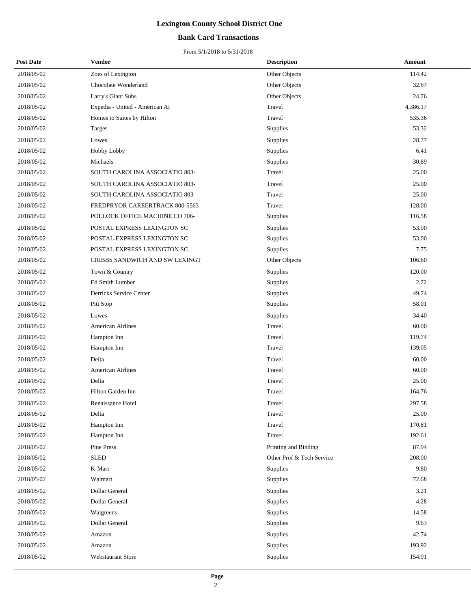### **Bank Card Transactions**

| <b>Post Date</b> | Vendor                         | <b>Description</b>        | <b>Amount</b> |
|------------------|--------------------------------|---------------------------|---------------|
| 2018/05/02       | Zoes of Lexington              | Other Objects             | 114.42        |
| 2018/05/02       | Chocolate Wonderland           | Other Objects             | 32.67         |
| 2018/05/02       | Larry's Giant Subs             | Other Objects             | 24.76         |
| 2018/05/02       | Expedia - United - American Ai | Travel                    | 4,386.17      |
| 2018/05/02       | Homes to Suites by Hilton      | Travel                    | 535.36        |
| 2018/05/02       | Target                         | Supplies                  | 53.32         |
| 2018/05/02       | Lowes                          | Supplies                  | 28.77         |
| 2018/05/02       | Hobby Lobby                    | Supplies                  | 6.41          |
| 2018/05/02       | Michaels                       | Supplies                  | 30.89         |
| 2018/05/02       | SOUTH CAROLINA ASSOCIATIO 803- | Travel                    | 25.00         |
| 2018/05/02       | SOUTH CAROLINA ASSOCIATIO 803- | Travel                    | 25.00         |
| 2018/05/02       | SOUTH CAROLINA ASSOCIATIO 803- | Travel                    | 25.00         |
| 2018/05/02       | FREDPRYOR CAREERTRACK 800-5563 | Travel                    | 128.00        |
| 2018/05/02       | POLLOCK OFFICE MACHINE CO 706- | Supplies                  | 116.58        |
| 2018/05/02       | POSTAL EXPRESS LEXINGTON SC    | Supplies                  | 53.00         |
| 2018/05/02       | POSTAL EXPRESS LEXINGTON SC    | Supplies                  | 53.00         |
| 2018/05/02       | POSTAL EXPRESS LEXINGTON SC    | Supplies                  | 7.75          |
| 2018/05/02       | CRIBBS SANDWICH AND SW LEXINGT | Other Objects             | 106.60        |
| 2018/05/02       | Town & Country                 | Supplies                  | 120.00        |
| 2018/05/02       | Ed Smith Lumber                | Supplies                  | 2.72          |
| 2018/05/02       | Derricks Service Center        | Supplies                  | 49.74         |
| 2018/05/02       | Pitt Stop                      | Supplies                  | 58.01         |
| 2018/05/02       | Lowes                          | Supplies                  | 34.40         |
| 2018/05/02       | American Airlines              | Travel                    | 60.00         |
| 2018/05/02       | Hampton Inn                    | Travel                    | 119.74        |
| 2018/05/02       | Hampton Inn                    | Travel                    | 139.05        |
| 2018/05/02       | Delta                          | Travel                    | 60.00         |
| 2018/05/02       | <b>American Airlines</b>       | Travel                    | 60.00         |
| 2018/05/02       | Delta                          | Travel                    | 25.00         |
| 2018/05/02       | Hilton Garden Inn              | Travel                    | 164.76        |
| 2018/05/02       | Renaissance Hotel              | Travel                    | 297.58        |
| 2018/05/02       | Delta                          | Travel                    | 25.00         |
| 2018/05/02       | Hampton Inn                    | Travel                    | 170.81        |
| 2018/05/02       | Hampton Inn                    | Travel                    | 192.61        |
| 2018/05/02       | Pine Press                     | Printing and Binding      | 87.94         |
| 2018/05/02       | <b>SLED</b>                    | Other Prof & Tech Service | 208.00        |
| 2018/05/02       | K-Mart                         | Supplies                  | 9.80          |
| 2018/05/02       | Walmart                        | Supplies                  | 72.68         |
| 2018/05/02       | Dollar General                 | Supplies                  | 3.21          |
| 2018/05/02       | Dollar General                 | Supplies                  | 4.28          |
| 2018/05/02       | Walgreens                      | Supplies                  | 14.58         |
| 2018/05/02       | Dollar General                 | Supplies                  | 9.63          |
| 2018/05/02       | Amazon                         | Supplies                  | 42.74         |
| 2018/05/02       | Amazon                         | Supplies                  | 193.92        |
| 2018/05/02       | Webstaurant Store              | Supplies                  | 154.91        |
|                  |                                |                           |               |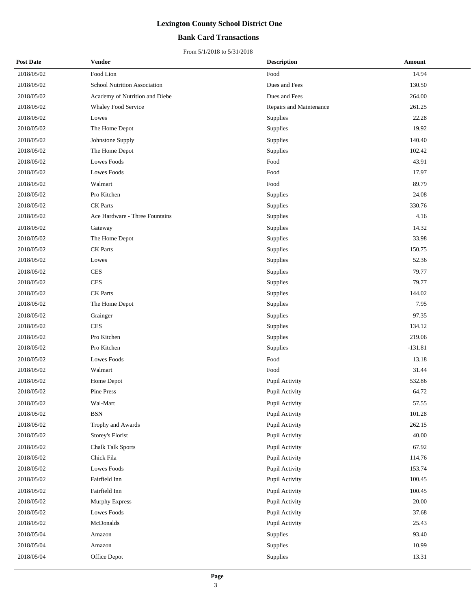### **Bank Card Transactions**

| <b>Post Date</b> | <b>Vendor</b>                  | <b>Description</b>      | Amount    |
|------------------|--------------------------------|-------------------------|-----------|
| 2018/05/02       | Food Lion                      | Food                    | 14.94     |
| 2018/05/02       | School Nutrition Association   | Dues and Fees           | 130.50    |
| 2018/05/02       | Academy of Nutrition and Diebe | Dues and Fees           | 264.00    |
| 2018/05/02       | Whaley Food Service            | Repairs and Maintenance | 261.25    |
| 2018/05/02       | Lowes                          | Supplies                | 22.28     |
| 2018/05/02       | The Home Depot                 | Supplies                | 19.92     |
| 2018/05/02       | Johnstone Supply               | Supplies                | 140.40    |
| 2018/05/02       | The Home Depot                 | Supplies                | 102.42    |
| 2018/05/02       | <b>Lowes Foods</b>             | Food                    | 43.91     |
| 2018/05/02       | <b>Lowes Foods</b>             | Food                    | 17.97     |
| 2018/05/02       | Walmart                        | Food                    | 89.79     |
| 2018/05/02       | Pro Kitchen                    | <b>Supplies</b>         | 24.08     |
| 2018/05/02       | <b>CK</b> Parts                | Supplies                | 330.76    |
| 2018/05/02       | Ace Hardware - Three Fountains | Supplies                | 4.16      |
| 2018/05/02       | Gateway                        | Supplies                | 14.32     |
| 2018/05/02       | The Home Depot                 | Supplies                | 33.98     |
| 2018/05/02       | <b>CK</b> Parts                | Supplies                | 150.75    |
| 2018/05/02       | Lowes                          | Supplies                | 52.36     |
| 2018/05/02       | <b>CES</b>                     | Supplies                | 79.77     |
| 2018/05/02       | <b>CES</b>                     | Supplies                | 79.77     |
| 2018/05/02       | CK Parts                       | Supplies                | 144.02    |
| 2018/05/02       | The Home Depot                 | Supplies                | 7.95      |
| 2018/05/02       | Grainger                       | Supplies                | 97.35     |
| 2018/05/02       | <b>CES</b>                     | Supplies                | 134.12    |
| 2018/05/02       | Pro Kitchen                    | Supplies                | 219.06    |
| 2018/05/02       | Pro Kitchen                    | Supplies                | $-131.81$ |
| 2018/05/02       | <b>Lowes Foods</b>             | Food                    | 13.18     |
| 2018/05/02       | Walmart                        | Food                    | 31.44     |
| 2018/05/02       | Home Depot                     | Pupil Activity          | 532.86    |
| 2018/05/02       | Pine Press                     | Pupil Activity          | 64.72     |
| $2018/05/02$     | Wal-Mart                       | Pupil Activity          | 57.55     |
| 2018/05/02       | <b>BSN</b>                     | Pupil Activity          | 101.28    |
| 2018/05/02       | Trophy and Awards              | Pupil Activity          | 262.15    |
| 2018/05/02       | Storey's Florist               | Pupil Activity          | 40.00     |
| 2018/05/02       | <b>Chalk Talk Sports</b>       | Pupil Activity          | 67.92     |
| 2018/05/02       | Chick Fila                     | Pupil Activity          | 114.76    |
| 2018/05/02       | <b>Lowes Foods</b>             | Pupil Activity          | 153.74    |
| 2018/05/02       | Fairfield Inn                  | Pupil Activity          | 100.45    |
| 2018/05/02       | Fairfield Inn                  | Pupil Activity          | 100.45    |
| 2018/05/02       | <b>Murphy Express</b>          | Pupil Activity          | 20.00     |
| 2018/05/02       | Lowes Foods                    | Pupil Activity          | 37.68     |
| 2018/05/02       | McDonalds                      | Pupil Activity          | 25.43     |
| 2018/05/04       | Amazon                         | Supplies                | 93.40     |
| 2018/05/04       | Amazon                         | Supplies                | 10.99     |
| 2018/05/04       | Office Depot                   | Supplies                | 13.31     |
|                  |                                |                         |           |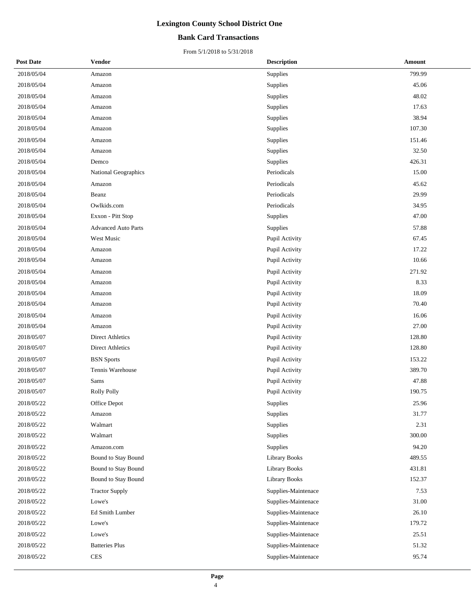### **Bank Card Transactions**

| <b>Post Date</b> | <b>Vendor</b>              | <b>Description</b>   | Amount |
|------------------|----------------------------|----------------------|--------|
| 2018/05/04       | Amazon                     | Supplies             | 799.99 |
| 2018/05/04       | Amazon                     | Supplies             | 45.06  |
| 2018/05/04       | Amazon                     | Supplies             | 48.02  |
| 2018/05/04       | Amazon                     | Supplies             | 17.63  |
| 2018/05/04       | Amazon                     | Supplies             | 38.94  |
| 2018/05/04       | Amazon                     | Supplies             | 107.30 |
| 2018/05/04       | Amazon                     | Supplies             | 151.46 |
| 2018/05/04       | Amazon                     | <b>Supplies</b>      | 32.50  |
| 2018/05/04       | Demco                      | Supplies             | 426.31 |
| 2018/05/04       | National Geographics       | Periodicals          | 15.00  |
| 2018/05/04       | Amazon                     | Periodicals          | 45.62  |
| 2018/05/04       | Beanz                      | Periodicals          | 29.99  |
| 2018/05/04       | Owlkids.com                | Periodicals          | 34.95  |
| 2018/05/04       | Exxon - Pitt Stop          | Supplies             | 47.00  |
| 2018/05/04       | <b>Advanced Auto Parts</b> | Supplies             | 57.88  |
| 2018/05/04       | West Music                 | Pupil Activity       | 67.45  |
| 2018/05/04       | Amazon                     | Pupil Activity       | 17.22  |
| 2018/05/04       | Amazon                     | Pupil Activity       | 10.66  |
| 2018/05/04       | Amazon                     | Pupil Activity       | 271.92 |
| 2018/05/04       | Amazon                     | Pupil Activity       | 8.33   |
| 2018/05/04       | Amazon                     | Pupil Activity       | 18.09  |
| 2018/05/04       | Amazon                     | Pupil Activity       | 70.40  |
| 2018/05/04       | Amazon                     | Pupil Activity       | 16.06  |
| 2018/05/04       | Amazon                     | Pupil Activity       | 27.00  |
| 2018/05/07       | <b>Direct Athletics</b>    | Pupil Activity       | 128.80 |
| 2018/05/07       | Direct Athletics           | Pupil Activity       | 128.80 |
| 2018/05/07       | <b>BSN</b> Sports          | Pupil Activity       | 153.22 |
| 2018/05/07       | Tennis Warehouse           | Pupil Activity       | 389.70 |
| 2018/05/07       | Sams                       | Pupil Activity       | 47.88  |
| 2018/05/07       | <b>Rolly Polly</b>         | Pupil Activity       | 190.75 |
| 2018/05/22       | Office Depot               | Supplies             | 25.96  |
| 2018/05/22       | Amazon                     | Supplies             | 31.77  |
| 2018/05/22       | Walmart                    | Supplies             | 2.31   |
| 2018/05/22       | Walmart                    | Supplies             | 300.00 |
| 2018/05/22       | Amazon.com                 | Supplies             | 94.20  |
| 2018/05/22       | Bound to Stay Bound        | <b>Library Books</b> | 489.55 |
| 2018/05/22       | Bound to Stay Bound        | <b>Library Books</b> | 431.81 |
| 2018/05/22       | Bound to Stay Bound        | <b>Library Books</b> | 152.37 |
| 2018/05/22       | <b>Tractor Supply</b>      | Supplies-Maintenace  | 7.53   |
| 2018/05/22       | Lowe's                     | Supplies-Maintenace  | 31.00  |
| 2018/05/22       | Ed Smith Lumber            | Supplies-Maintenace  | 26.10  |
| 2018/05/22       | Lowe's                     | Supplies-Maintenace  | 179.72 |
| 2018/05/22       | Lowe's                     | Supplies-Maintenace  | 25.51  |
| 2018/05/22       | <b>Batteries Plus</b>      | Supplies-Maintenace  | 51.32  |
| 2018/05/22       | $\mbox{CES}$               | Supplies-Maintenace  | 95.74  |
|                  |                            |                      |        |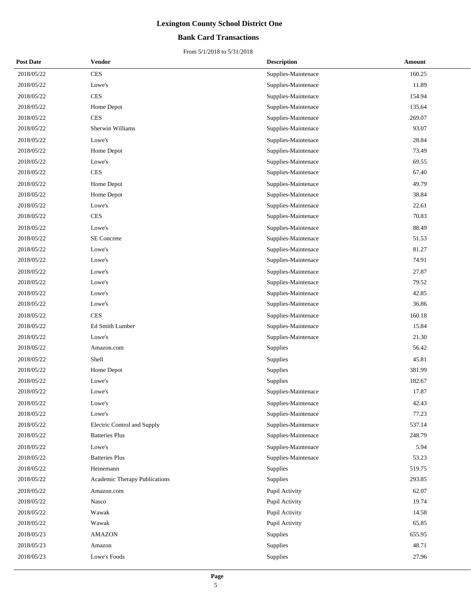### **Bank Card Transactions**

| <b>Post Date</b> | Vendor                        | <b>Description</b>  | Amount |
|------------------|-------------------------------|---------------------|--------|
| 2018/05/22       | <b>CES</b>                    | Supplies-Maintenace | 160.25 |
| 2018/05/22       | Lowe's                        | Supplies-Maintenace | 11.89  |
| 2018/05/22       | <b>CES</b>                    | Supplies-Maintenace | 154.94 |
| 2018/05/22       | Home Depot                    | Supplies-Maintenace | 135.64 |
| 2018/05/22       | <b>CES</b>                    | Supplies-Maintenace | 269.07 |
| 2018/05/22       | Sherwin Williams              | Supplies-Maintenace | 93.07  |
| 2018/05/22       | Lowe's                        | Supplies-Maintenace | 28.84  |
| 2018/05/22       | Home Depot                    | Supplies-Maintenace | 73.49  |
| 2018/05/22       | Lowe's                        | Supplies-Maintenace | 69.55  |
| 2018/05/22       | <b>CES</b>                    | Supplies-Maintenace | 67.40  |
| 2018/05/22       | Home Depot                    | Supplies-Maintenace | 49.79  |
| 2018/05/22       | Home Depot                    | Supplies-Maintenace | 38.84  |
| 2018/05/22       | Lowe's                        | Supplies-Maintenace | 22.61  |
| 2018/05/22       | <b>CES</b>                    | Supplies-Maintenace | 70.83  |
| 2018/05/22       | Lowe's                        | Supplies-Maintenace | 88.49  |
| 2018/05/22       | SE Concrete                   | Supplies-Maintenace | 51.53  |
| 2018/05/22       | Lowe's                        | Supplies-Maintenace | 81.27  |
| 2018/05/22       | Lowe's                        | Supplies-Maintenace | 74.91  |
| 2018/05/22       | Lowe's                        | Supplies-Maintenace | 27.87  |
| 2018/05/22       | Lowe's                        | Supplies-Maintenace | 79.52  |
| 2018/05/22       | Lowe's                        | Supplies-Maintenace | 42.85  |
| 2018/05/22       | Lowe's                        | Supplies-Maintenace | 36.86  |
| 2018/05/22       | <b>CES</b>                    | Supplies-Maintenace | 160.18 |
| 2018/05/22       | Ed Smith Lumber               | Supplies-Maintenace | 15.84  |
| 2018/05/22       | Lowe's                        | Supplies-Maintenace | 21.30  |
| 2018/05/22       | Amazon.com                    | Supplies            | 56.42  |
| 2018/05/22       | Shell                         | Supplies            | 45.81  |
| 2018/05/22       | Home Depot                    | Supplies            | 381.99 |
| 2018/05/22       | Lowe's                        | Supplies            | 182.67 |
| 2018/05/22       | Lowe's                        | Supplies-Maintenace | 17.87  |
| 2018/05/22       | Lowe's                        | Supplies-Maintenace | 42.43  |
| 2018/05/22       | Lowe's                        | Supplies-Maintenace | 77.23  |
| 2018/05/22       | Electric Control and Supply   | Supplies-Maintenace | 537.14 |
| 2018/05/22       | <b>Batteries Plus</b>         | Supplies-Maintenace | 248.79 |
| 2018/05/22       | Lowe's                        | Supplies-Maintenace | 5.94   |
| 2018/05/22       | <b>Batteries Plus</b>         | Supplies-Maintenace | 53.23  |
| 2018/05/22       | Heinemann                     | Supplies            | 519.75 |
| 2018/05/22       | Academic Therapy Publications | Supplies            | 293.85 |
| 2018/05/22       | Amazon.com                    | Pupil Activity      | 62.07  |
| 2018/05/22       | Nasco                         | Pupil Activity      | 19.74  |
| 2018/05/22       | Wawak                         | Pupil Activity      | 14.58  |
| 2018/05/22       | Wawak                         | Pupil Activity      | 65.85  |
| 2018/05/23       | <b>AMAZON</b>                 | Supplies            | 655.95 |
| 2018/05/23       | Amazon                        | Supplies            | 48.71  |
| 2018/05/23       | Lowe's Foods                  | Supplies            | 27.96  |
|                  |                               |                     |        |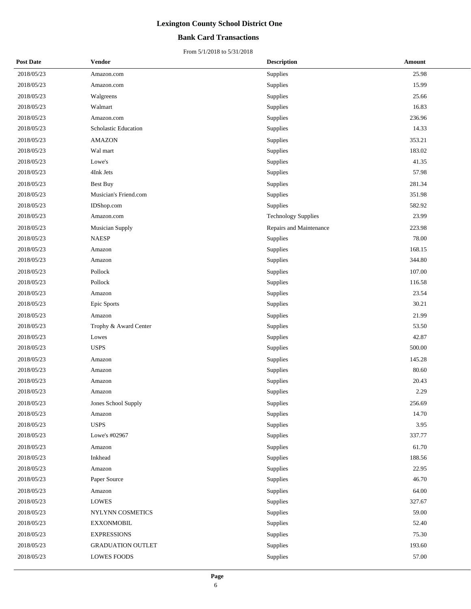### **Bank Card Transactions**

| <b>Post Date</b> | <b>Vendor</b>            | <b>Description</b>         | Amount |
|------------------|--------------------------|----------------------------|--------|
| 2018/05/23       | Amazon.com               | Supplies                   | 25.98  |
| 2018/05/23       | Amazon.com               | Supplies                   | 15.99  |
| 2018/05/23       | Walgreens                | Supplies                   | 25.66  |
| 2018/05/23       | Walmart                  | Supplies                   | 16.83  |
| 2018/05/23       | Amazon.com               | Supplies                   | 236.96 |
| 2018/05/23       | Scholastic Education     | Supplies                   | 14.33  |
| 2018/05/23       | <b>AMAZON</b>            | Supplies                   | 353.21 |
| 2018/05/23       | Wal mart                 | Supplies                   | 183.02 |
| 2018/05/23       | Lowe's                   | Supplies                   | 41.35  |
| 2018/05/23       | 4Ink Jets                | Supplies                   | 57.98  |
| 2018/05/23       | <b>Best Buy</b>          | Supplies                   | 281.34 |
| 2018/05/23       | Musician's Friend.com    | Supplies                   | 351.98 |
| 2018/05/23       | IDShop.com               | Supplies                   | 582.92 |
| 2018/05/23       | Amazon.com               | <b>Technology Supplies</b> | 23.99  |
| 2018/05/23       | <b>Musician Supply</b>   | Repairs and Maintenance    | 223.98 |
| 2018/05/23       | <b>NAESP</b>             | Supplies                   | 78.00  |
| 2018/05/23       | Amazon                   | Supplies                   | 168.15 |
| 2018/05/23       | Amazon                   | Supplies                   | 344.80 |
| 2018/05/23       | Pollock                  | Supplies                   | 107.00 |
| 2018/05/23       | Pollock                  | Supplies                   | 116.58 |
| 2018/05/23       | Amazon                   | Supplies                   | 23.54  |
| 2018/05/23       | Epic Sports              | Supplies                   | 30.21  |
| 2018/05/23       | Amazon                   | Supplies                   | 21.99  |
| 2018/05/23       | Trophy & Award Center    | Supplies                   | 53.50  |
| 2018/05/23       | Lowes                    | Supplies                   | 42.87  |
| 2018/05/23       | <b>USPS</b>              | Supplies                   | 500.00 |
| 2018/05/23       | Amazon                   | Supplies                   | 145.28 |
| 2018/05/23       | Amazon                   | Supplies                   | 80.60  |
| 2018/05/23       | Amazon                   | Supplies                   | 20.43  |
| 2018/05/23       | Amazon                   | Supplies                   | 2.29   |
| 2018/05/23       | Jones School Supply      | Supplies                   | 256.69 |
| 2018/05/23       | Amazon                   | Supplies                   | 14.70  |
| 2018/05/23       | <b>USPS</b>              | Supplies                   | 3.95   |
| 2018/05/23       | Lowe's #02967            | Supplies                   | 337.77 |
| 2018/05/23       | Amazon                   | Supplies                   | 61.70  |
| 2018/05/23       | Inkhead                  | Supplies                   | 188.56 |
| 2018/05/23       | Amazon                   | Supplies                   | 22.95  |
| 2018/05/23       | Paper Source             | Supplies                   | 46.70  |
| 2018/05/23       | Amazon                   | Supplies                   | 64.00  |
| 2018/05/23       | <b>LOWES</b>             | Supplies                   | 327.67 |
| 2018/05/23       | NYLYNN COSMETICS         | Supplies                   | 59.00  |
| 2018/05/23       | <b>EXXONMOBIL</b>        | Supplies                   | 52.40  |
| 2018/05/23       | <b>EXPRESSIONS</b>       | Supplies                   | 75.30  |
| 2018/05/23       | <b>GRADUATION OUTLET</b> | Supplies                   | 193.60 |
| 2018/05/23       | LOWES FOODS              | Supplies                   | 57.00  |
|                  |                          |                            |        |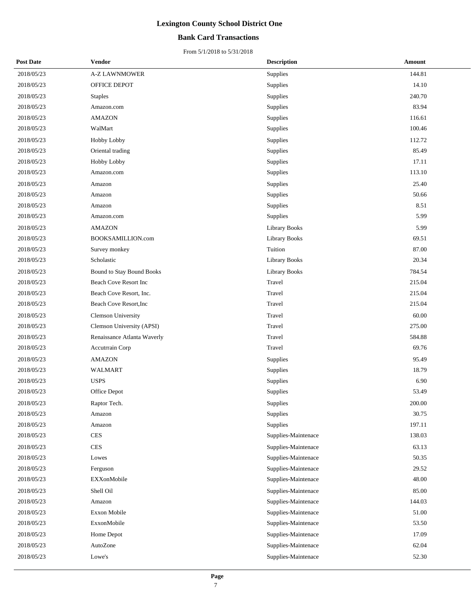### **Bank Card Transactions**

| <b>Post Date</b> | Vendor                      | <b>Description</b>   | Amount |
|------------------|-----------------------------|----------------------|--------|
| 2018/05/23       | <b>A-Z LAWNMOWER</b>        | Supplies             | 144.81 |
| 2018/05/23       | OFFICE DEPOT                | Supplies             | 14.10  |
| 2018/05/23       | Staples                     | Supplies             | 240.70 |
| 2018/05/23       | Amazon.com                  | Supplies             | 83.94  |
| 2018/05/23       | AMAZON                      | Supplies             | 116.61 |
| 2018/05/23       | WalMart                     | Supplies             | 100.46 |
| 2018/05/23       | Hobby Lobby                 | Supplies             | 112.72 |
| 2018/05/23       | Oriental trading            | Supplies             | 85.49  |
| 2018/05/23       | Hobby Lobby                 | Supplies             | 17.11  |
| 2018/05/23       | Amazon.com                  | Supplies             | 113.10 |
| 2018/05/23       | Amazon                      | Supplies             | 25.40  |
| 2018/05/23       | Amazon                      | Supplies             | 50.66  |
| 2018/05/23       | Amazon                      | Supplies             | 8.51   |
| 2018/05/23       | Amazon.com                  | Supplies             | 5.99   |
| 2018/05/23       | AMAZON                      | <b>Library Books</b> | 5.99   |
| 2018/05/23       | BOOKSAMILLION.com           | <b>Library Books</b> | 69.51  |
| 2018/05/23       | Survey monkey               | Tuition              | 87.00  |
| 2018/05/23       | Scholastic                  | <b>Library Books</b> | 20.34  |
| 2018/05/23       | Bound to Stay Bound Books   | <b>Library Books</b> | 784.54 |
| 2018/05/23       | Beach Cove Resort Inc       | Travel               | 215.04 |
| 2018/05/23       | Beach Cove Resort, Inc.     | Travel               | 215.04 |
| 2018/05/23       | Beach Cove Resort, Inc      | Travel               | 215.04 |
| 2018/05/23       | <b>Clemson University</b>   | Travel               | 60.00  |
| 2018/05/23       | Clemson University (APSI)   | Travel               | 275.00 |
| 2018/05/23       | Renaissance Atlanta Waverly | Travel               | 584.88 |
| 2018/05/23       | Accutrrain Corp             | Travel               | 69.76  |
| 2018/05/23       | <b>AMAZON</b>               | Supplies             | 95.49  |
| 2018/05/23       | <b>WALMART</b>              | Supplies             | 18.79  |
| 2018/05/23       | <b>USPS</b>                 | Supplies             | 6.90   |
| 2018/05/23       | Office Depot                | Supplies             | 53.49  |
| 2018/05/23       | Raptor Tech.                | Supplies             | 200.00 |
| 2018/05/23       | Amazon                      | Supplies             | 30.75  |
| 2018/05/23       | Amazon                      | Supplies             | 197.11 |
| 2018/05/23       | <b>CES</b>                  | Supplies-Maintenace  | 138.03 |
| 2018/05/23       | CES                         | Supplies-Maintenace  | 63.13  |
| 2018/05/23       | Lowes                       | Supplies-Maintenace  | 50.35  |
| 2018/05/23       | Ferguson                    | Supplies-Maintenace  | 29.52  |
| 2018/05/23       | EXXonMobile                 | Supplies-Maintenace  | 48.00  |
| 2018/05/23       | Shell Oil                   | Supplies-Maintenace  | 85.00  |
| 2018/05/23       | Amazon                      | Supplies-Maintenace  | 144.03 |
| 2018/05/23       | Exxon Mobile                | Supplies-Maintenace  | 51.00  |
| 2018/05/23       | ExxonMobile                 | Supplies-Maintenace  | 53.50  |
| 2018/05/23       | Home Depot                  | Supplies-Maintenace  | 17.09  |
| 2018/05/23       | AutoZone                    | Supplies-Maintenace  | 62.04  |
| 2018/05/23       | Lowe's                      | Supplies-Maintenace  | 52.30  |
|                  |                             |                      |        |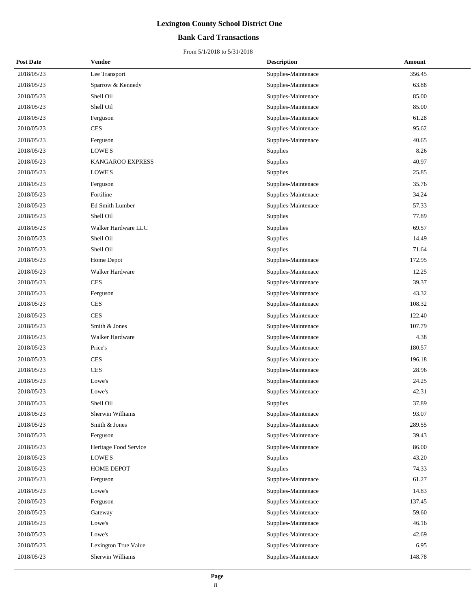### **Bank Card Transactions**

| <b>Post Date</b> | <b>Vendor</b>          | <b>Description</b>  | <b>Amount</b> |
|------------------|------------------------|---------------------|---------------|
| 2018/05/23       | Lee Transport          | Supplies-Maintenace | 356.45        |
| 2018/05/23       | Sparrow & Kennedy      | Supplies-Maintenace | 63.88         |
| 2018/05/23       | Shell Oil              | Supplies-Maintenace | 85.00         |
| 2018/05/23       | Shell Oil              | Supplies-Maintenace | 85.00         |
| 2018/05/23       | Ferguson               | Supplies-Maintenace | 61.28         |
| 2018/05/23       | <b>CES</b>             | Supplies-Maintenace | 95.62         |
| 2018/05/23       | Ferguson               | Supplies-Maintenace | 40.65         |
| 2018/05/23       | LOWE'S                 | Supplies            | 8.26          |
| 2018/05/23       | KANGAROO EXPRESS       | Supplies            | 40.97         |
| 2018/05/23       | LOWE'S                 | Supplies            | 25.85         |
| 2018/05/23       | Ferguson               | Supplies-Maintenace | 35.76         |
| 2018/05/23       | Fortiline              | Supplies-Maintenace | 34.24         |
| 2018/05/23       | Ed Smith Lumber        | Supplies-Maintenace | 57.33         |
| 2018/05/23       | Shell Oil              | Supplies            | 77.89         |
| 2018/05/23       | Walker Hardware LLC    | Supplies            | 69.57         |
| 2018/05/23       | Shell Oil              | Supplies            | 14.49         |
| 2018/05/23       | Shell Oil              | Supplies            | 71.64         |
| 2018/05/23       | Home Depot             | Supplies-Maintenace | 172.95        |
| 2018/05/23       | <b>Walker Hardware</b> | Supplies-Maintenace | 12.25         |
| 2018/05/23       | <b>CES</b>             | Supplies-Maintenace | 39.37         |
| 2018/05/23       | Ferguson               | Supplies-Maintenace | 43.32         |
| 2018/05/23       | <b>CES</b>             | Supplies-Maintenace | 108.32        |
| 2018/05/23       | <b>CES</b>             | Supplies-Maintenace | 122.40        |
| 2018/05/23       | Smith & Jones          | Supplies-Maintenace | 107.79        |
| 2018/05/23       | Walker Hardware        | Supplies-Maintenace | 4.38          |
| 2018/05/23       | Price's                | Supplies-Maintenace | 180.57        |
| 2018/05/23       | <b>CES</b>             | Supplies-Maintenace | 196.18        |
| 2018/05/23       | <b>CES</b>             | Supplies-Maintenace | 28.96         |
| 2018/05/23       | Lowe's                 | Supplies-Maintenace | 24.25         |
| 2018/05/23       | Lowe's                 | Supplies-Maintenace | 42.31         |
| 2018/05/23       | Shell Oil              | <b>Supplies</b>     | 37.89         |
| 2018/05/23       | Sherwin Williams       | Supplies-Maintenace | 93.07         |
| 2018/05/23       | Smith & Jones          | Supplies-Maintenace | 289.55        |
| 2018/05/23       | Ferguson               | Supplies-Maintenace | 39.43         |
| 2018/05/23       | Heritage Food Service  | Supplies-Maintenace | 86.00         |
| 2018/05/23       | LOWE'S                 | Supplies            | 43.20         |
| 2018/05/23       | <b>HOME DEPOT</b>      | Supplies            | 74.33         |
| 2018/05/23       | Ferguson               | Supplies-Maintenace | 61.27         |
| 2018/05/23       | Lowe's                 | Supplies-Maintenace | 14.83         |
| 2018/05/23       | Ferguson               | Supplies-Maintenace | 137.45        |
| 2018/05/23       | Gateway                | Supplies-Maintenace | 59.60         |
| 2018/05/23       | Lowe's                 | Supplies-Maintenace | 46.16         |
| 2018/05/23       | Lowe's                 | Supplies-Maintenace | 42.69         |
| 2018/05/23       | Lexington True Value   | Supplies-Maintenace | 6.95          |
| 2018/05/23       | Sherwin Williams       | Supplies-Maintenace | 148.78        |
|                  |                        |                     |               |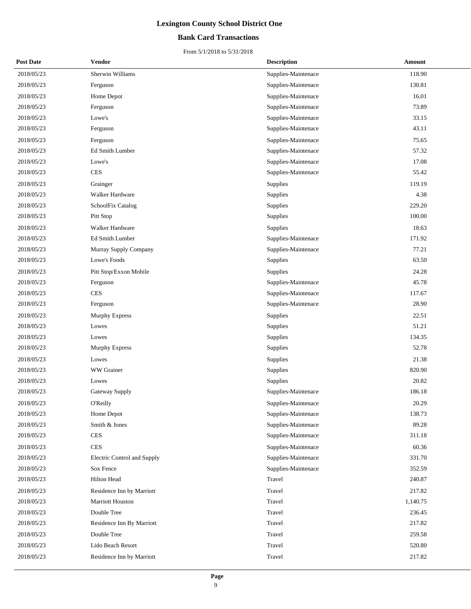### **Bank Card Transactions**

| <b>Post Date</b> | <b>Vendor</b>               | <b>Description</b>  | <b>Amount</b> |
|------------------|-----------------------------|---------------------|---------------|
| 2018/05/23       | Sherwin Williams            | Supplies-Maintenace | 118.90        |
| 2018/05/23       | Ferguson                    | Supplies-Maintenace | 130.81        |
| 2018/05/23       | Home Depot                  | Supplies-Maintenace | 16.01         |
| 2018/05/23       | Ferguson                    | Supplies-Maintenace | 73.89         |
| 2018/05/23       | Lowe's                      | Supplies-Maintenace | 33.15         |
| 2018/05/23       | Ferguson                    | Supplies-Maintenace | 43.11         |
| 2018/05/23       | Ferguson                    | Supplies-Maintenace | 75.65         |
| 2018/05/23       | Ed Smith Lumber             | Supplies-Maintenace | 57.32         |
| 2018/05/23       | Lowe's                      | Supplies-Maintenace | 17.08         |
| 2018/05/23       | <b>CES</b>                  | Supplies-Maintenace | 55.42         |
| 2018/05/23       | Grainger                    | Supplies            | 119.19        |
| 2018/05/23       | Walker Hardware             | <b>Supplies</b>     | 4.38          |
| 2018/05/23       | SchoolFix Catalog           | Supplies            | 229.20        |
| 2018/05/23       | Pitt Stop                   | Supplies            | 100.00        |
| 2018/05/23       | Walker Hardware             | Supplies            | 18.63         |
| 2018/05/23       | Ed Smith Lumber             | Supplies-Maintenace | 171.92        |
| 2018/05/23       | Murray Supply Company       | Supplies-Maintenace | 77.21         |
| 2018/05/23       | Lowe's Foods                | Supplies            | 63.50         |
| 2018/05/23       | Pitt Stop/Exxon Mobile      | Supplies            | 24.28         |
| 2018/05/23       | Ferguson                    | Supplies-Maintenace | 45.78         |
| 2018/05/23       | <b>CES</b>                  | Supplies-Maintenace | 117.67        |
| 2018/05/23       | Ferguson                    | Supplies-Maintenace | 28.90         |
| 2018/05/23       | <b>Murphy Express</b>       | Supplies            | 22.51         |
| 2018/05/23       | Lowes                       | Supplies            | 51.21         |
| 2018/05/23       | Lowes                       | Supplies            | 134.35        |
| 2018/05/23       | <b>Murphy Express</b>       | Supplies            | 52.78         |
| 2018/05/23       | Lowes                       | Supplies            | 21.38         |
| 2018/05/23       | WW Grainer                  | Supplies            | 820.90        |
| 2018/05/23       | Lowes                       | Supplies            | 20.82         |
| 2018/05/23       | Gateway Supply              | Supplies-Maintenace | 186.18        |
| 2018/05/23       | <b>O'Reilly</b>             | Supplies-Maintenace | 20.29         |
| 2018/05/23       | Home Depot                  | Supplies-Maintenace | 138.73        |
| 2018/05/23       | Smith & Jones               | Supplies-Maintenace | 89.28         |
| 2018/05/23       | <b>CES</b>                  | Supplies-Maintenace | 311.18        |
| 2018/05/23       | <b>CES</b>                  | Supplies-Maintenace | 60.36         |
| 2018/05/23       | Electric Control and Supply | Supplies-Maintenace | 331.70        |
| 2018/05/23       | Sox Fence                   | Supplies-Maintenace | 352.59        |
| 2018/05/23       | <b>Hilton Head</b>          | Travel              | 240.87        |
| 2018/05/23       | Residence Inn by Marriott   | Travel              | 217.82        |
| 2018/05/23       | Marriott Houston            | Travel              | 1,140.75      |
| 2018/05/23       | Double Tree                 | Travel              | 236.45        |
| 2018/05/23       | Residence Inn By Marriott   | Travel              | 217.82        |
| 2018/05/23       | Double Tree                 | Travel              | 259.58        |
| 2018/05/23       | Lido Beach Resort           | Travel              | 520.80        |
| 2018/05/23       | Residence Inn by Marriott   | Travel              | 217.82        |
|                  |                             |                     |               |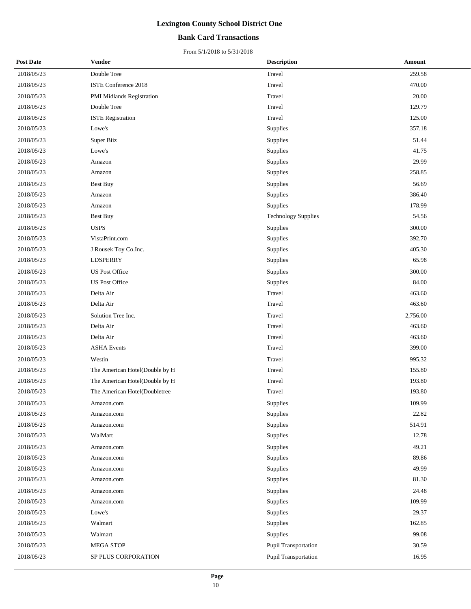### **Bank Card Transactions**

| <b>Post Date</b> | <b>Vendor</b>                  | <b>Description</b>         | <b>Amount</b> |
|------------------|--------------------------------|----------------------------|---------------|
| 2018/05/23       | Double Tree                    | Travel                     | 259.58        |
| 2018/05/23       | ISTE Conference 2018           | Travel                     | 470.00        |
| 2018/05/23       | PMI Midlands Registration      | Travel                     | 20.00         |
| 2018/05/23       | Double Tree                    | Travel                     | 129.79        |
| 2018/05/23       | <b>ISTE Registration</b>       | Travel                     | 125.00        |
| 2018/05/23       | Lowe's                         | Supplies                   | 357.18        |
| 2018/05/23       | Super Biiz                     | Supplies                   | 51.44         |
| 2018/05/23       | Lowe's                         | Supplies                   | 41.75         |
| 2018/05/23       | Amazon                         | Supplies                   | 29.99         |
| 2018/05/23       | Amazon                         | Supplies                   | 258.85        |
| 2018/05/23       | <b>Best Buy</b>                | Supplies                   | 56.69         |
| 2018/05/23       | Amazon                         | Supplies                   | 386.40        |
| 2018/05/23       | Amazon                         | Supplies                   | 178.99        |
| 2018/05/23       | Best Buy                       | <b>Technology Supplies</b> | 54.56         |
| 2018/05/23       | <b>USPS</b>                    | Supplies                   | 300.00        |
| 2018/05/23       | VistaPrint.com                 | Supplies                   | 392.70        |
| 2018/05/23       | J Rousek Toy Co.Inc.           | Supplies                   | 405.30        |
| 2018/05/23       | <b>LDSPERRY</b>                | Supplies                   | 65.98         |
| 2018/05/23       | <b>US Post Office</b>          | Supplies                   | 300.00        |
| 2018/05/23       | <b>US Post Office</b>          | Supplies                   | 84.00         |
| 2018/05/23       | Delta Air                      | Travel                     | 463.60        |
| 2018/05/23       | Delta Air                      | Travel                     | 463.60        |
| 2018/05/23       | Solution Tree Inc.             | Travel                     | 2,756.00      |
| 2018/05/23       | Delta Air                      | Travel                     | 463.60        |
| 2018/05/23       | Delta Air                      | Travel                     | 463.60        |
| 2018/05/23       | <b>ASHA Events</b>             | Travel                     | 399.00        |
| 2018/05/23       | Westin                         | Travel                     | 995.32        |
| 2018/05/23       | The American Hotel(Double by H | Travel                     | 155.80        |
| 2018/05/23       | The American Hotel(Double by H | Travel                     | 193.80        |
| 2018/05/23       | The American Hotel(Doubletree  | Travel                     | 193.80        |
| 2018/05/23       | Amazon.com                     | Supplies                   | 109.99        |
| 2018/05/23       | Amazon.com                     | Supplies                   | 22.82         |
| 2018/05/23       | Amazon.com                     | Supplies                   | 514.91        |
| 2018/05/23       | WalMart                        | Supplies                   | 12.78         |
| 2018/05/23       | Amazon.com                     | Supplies                   | 49.21         |
| 2018/05/23       | Amazon.com                     | Supplies                   | 89.86         |
| 2018/05/23       | Amazon.com                     | Supplies                   | 49.99         |
| 2018/05/23       | Amazon.com                     | Supplies                   | 81.30         |
| 2018/05/23       | Amazon.com                     | Supplies                   | 24.48         |
| 2018/05/23       | Amazon.com                     | Supplies                   | 109.99        |
| 2018/05/23       | Lowe's                         | Supplies                   | 29.37         |
| 2018/05/23       | Walmart                        | Supplies                   | 162.85        |
| 2018/05/23       | Walmart                        | Supplies                   | 99.08         |
| 2018/05/23       | MEGA STOP                      | Pupil Transportation       | 30.59         |
| 2018/05/23       | SP PLUS CORPORATION            | Pupil Transportation       | 16.95         |
|                  |                                |                            |               |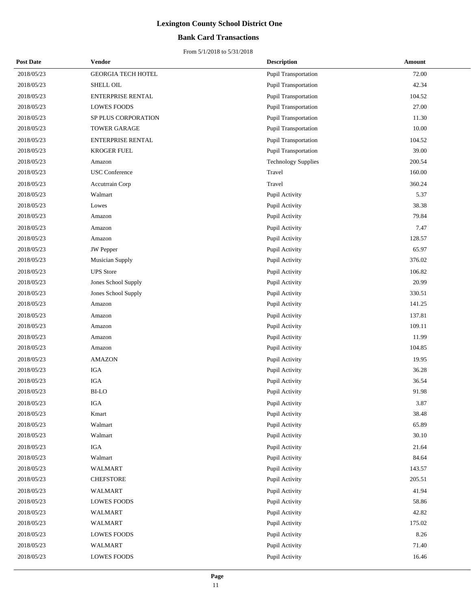### **Bank Card Transactions**

| <b>Post Date</b> | Vendor                    | <b>Description</b>          | Amount |
|------------------|---------------------------|-----------------------------|--------|
| 2018/05/23       | <b>GEORGIA TECH HOTEL</b> | <b>Pupil Transportation</b> | 72.00  |
| 2018/05/23       | SHELL OIL                 | Pupil Transportation        | 42.34  |
| 2018/05/23       | <b>ENTERPRISE RENTAL</b>  | <b>Pupil Transportation</b> | 104.52 |
| 2018/05/23       | <b>LOWES FOODS</b>        | <b>Pupil Transportation</b> | 27.00  |
| 2018/05/23       | SP PLUS CORPORATION       | Pupil Transportation        | 11.30  |
| 2018/05/23       | <b>TOWER GARAGE</b>       | Pupil Transportation        | 10.00  |
| 2018/05/23       | <b>ENTERPRISE RENTAL</b>  | Pupil Transportation        | 104.52 |
| 2018/05/23       | <b>KROGER FUEL</b>        | Pupil Transportation        | 39.00  |
| 2018/05/23       | Amazon                    | <b>Technology Supplies</b>  | 200.54 |
| 2018/05/23       | <b>USC</b> Conference     | Travel                      | 160.00 |
| 2018/05/23       | Accutrrain Corp           | Travel                      | 360.24 |
| 2018/05/23       | Walmart                   | Pupil Activity              | 5.37   |
| 2018/05/23       | Lowes                     | Pupil Activity              | 38.38  |
| 2018/05/23       | Amazon                    | Pupil Activity              | 79.84  |
| 2018/05/23       | Amazon                    | Pupil Activity              | 7.47   |
| 2018/05/23       | Amazon                    | Pupil Activity              | 128.57 |
| 2018/05/23       | <b>JW</b> Pepper          | Pupil Activity              | 65.97  |
| 2018/05/23       | <b>Musician Supply</b>    | Pupil Activity              | 376.02 |
| 2018/05/23       | <b>UPS</b> Store          | Pupil Activity              | 106.82 |
| 2018/05/23       | Jones School Supply       | Pupil Activity              | 20.99  |
| 2018/05/23       | Jones School Supply       | Pupil Activity              | 330.51 |
| 2018/05/23       | Amazon                    | Pupil Activity              | 141.25 |
| 2018/05/23       | Amazon                    | Pupil Activity              | 137.81 |
| 2018/05/23       | Amazon                    | Pupil Activity              | 109.11 |
| 2018/05/23       | Amazon                    | Pupil Activity              | 11.99  |
| 2018/05/23       | Amazon                    | Pupil Activity              | 104.85 |
| 2018/05/23       | <b>AMAZON</b>             | Pupil Activity              | 19.95  |
| 2018/05/23       | <b>IGA</b>                | Pupil Activity              | 36.28  |
| 2018/05/23       | <b>IGA</b>                | Pupil Activity              | 36.54  |
| 2018/05/23       | <b>BI-LO</b>              | Pupil Activity              | 91.98  |
| 2018/05/23       | IGA                       | Pupil Activity              | 3.87   |
| 2018/05/23       | Kmart                     | Pupil Activity              | 38.48  |
| 2018/05/23       | Walmart                   | Pupil Activity              | 65.89  |
| 2018/05/23       | Walmart                   | Pupil Activity              | 30.10  |
| 2018/05/23       | IGA                       | Pupil Activity              | 21.64  |
| 2018/05/23       | Walmart                   | Pupil Activity              | 84.64  |
| 2018/05/23       | WALMART                   | Pupil Activity              | 143.57 |
| 2018/05/23       | <b>CHEFSTORE</b>          | Pupil Activity              | 205.51 |
| 2018/05/23       | <b>WALMART</b>            | Pupil Activity              | 41.94  |
| 2018/05/23       | LOWES FOODS               | Pupil Activity              | 58.86  |
| 2018/05/23       | <b>WALMART</b>            | Pupil Activity              | 42.82  |
| 2018/05/23       | WALMART                   | Pupil Activity              | 175.02 |
| 2018/05/23       | <b>LOWES FOODS</b>        | Pupil Activity              | 8.26   |
| 2018/05/23       | WALMART                   | Pupil Activity              | 71.40  |
| 2018/05/23       | <b>LOWES FOODS</b>        | Pupil Activity              | 16.46  |
|                  |                           |                             |        |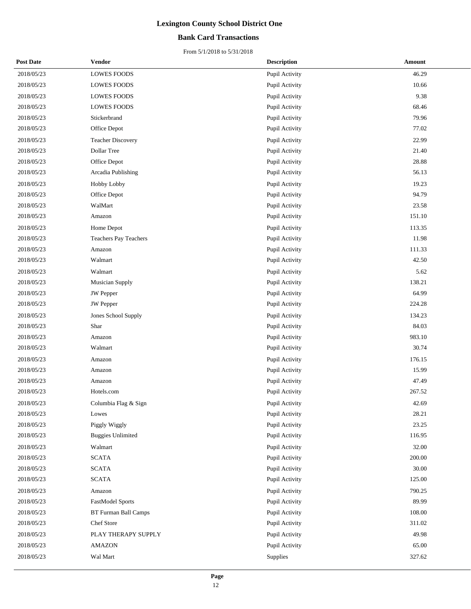### **Bank Card Transactions**

| <b>Post Date</b> | Vendor                      | <b>Description</b> | Amount |
|------------------|-----------------------------|--------------------|--------|
| 2018/05/23       | <b>LOWES FOODS</b>          | Pupil Activity     | 46.29  |
| 2018/05/23       | <b>LOWES FOODS</b>          | Pupil Activity     | 10.66  |
| 2018/05/23       | <b>LOWES FOODS</b>          | Pupil Activity     | 9.38   |
| 2018/05/23       | <b>LOWES FOODS</b>          | Pupil Activity     | 68.46  |
| 2018/05/23       | Stickerbrand                | Pupil Activity     | 79.96  |
| 2018/05/23       | Office Depot                | Pupil Activity     | 77.02  |
| 2018/05/23       | <b>Teacher Discovery</b>    | Pupil Activity     | 22.99  |
| 2018/05/23       | Dollar Tree                 | Pupil Activity     | 21.40  |
| 2018/05/23       | Office Depot                | Pupil Activity     | 28.88  |
| 2018/05/23       | Arcadia Publishing          | Pupil Activity     | 56.13  |
| 2018/05/23       | Hobby Lobby                 | Pupil Activity     | 19.23  |
| 2018/05/23       | Office Depot                | Pupil Activity     | 94.79  |
| 2018/05/23       | WalMart                     | Pupil Activity     | 23.58  |
| 2018/05/23       | Amazon                      | Pupil Activity     | 151.10 |
| 2018/05/23       | Home Depot                  | Pupil Activity     | 113.35 |
| 2018/05/23       | Teachers Pay Teachers       | Pupil Activity     | 11.98  |
| 2018/05/23       | Amazon                      | Pupil Activity     | 111.33 |
| 2018/05/23       | Walmart                     | Pupil Activity     | 42.50  |
| 2018/05/23       | Walmart                     | Pupil Activity     | 5.62   |
| 2018/05/23       | <b>Musician Supply</b>      | Pupil Activity     | 138.21 |
| 2018/05/23       | <b>JW</b> Pepper            | Pupil Activity     | 64.99  |
| 2018/05/23       | JW Pepper                   | Pupil Activity     | 224.28 |
| 2018/05/23       | Jones School Supply         | Pupil Activity     | 134.23 |
| 2018/05/23       | Shar                        | Pupil Activity     | 84.03  |
| 2018/05/23       | Amazon                      | Pupil Activity     | 983.10 |
| 2018/05/23       | Walmart                     | Pupil Activity     | 30.74  |
| 2018/05/23       | Amazon                      | Pupil Activity     | 176.15 |
| 2018/05/23       | Amazon                      | Pupil Activity     | 15.99  |
| 2018/05/23       | Amazon                      | Pupil Activity     | 47.49  |
| 2018/05/23       | Hotels.com                  | Pupil Activity     | 267.52 |
| 2018/05/23       | Columbia Flag & Sign        | Pupil Activity     | 42.69  |
| 2018/05/23       | Lowes                       | Pupil Activity     | 28.21  |
| 2018/05/23       | Piggly Wiggly               | Pupil Activity     | 23.25  |
| 2018/05/23       | <b>Buggies Unlimited</b>    | Pupil Activity     | 116.95 |
| 2018/05/23       | Walmart                     | Pupil Activity     | 32.00  |
| 2018/05/23       | <b>SCATA</b>                | Pupil Activity     | 200.00 |
| 2018/05/23       | <b>SCATA</b>                | Pupil Activity     | 30.00  |
| 2018/05/23       | <b>SCATA</b>                | Pupil Activity     | 125.00 |
| 2018/05/23       | Amazon                      | Pupil Activity     | 790.25 |
| 2018/05/23       | <b>FastModel Sports</b>     | Pupil Activity     | 89.99  |
| 2018/05/23       | <b>BT Furman Ball Camps</b> | Pupil Activity     | 108.00 |
| 2018/05/23       | Chef Store                  | Pupil Activity     | 311.02 |
| 2018/05/23       | PLAY THERAPY SUPPLY         | Pupil Activity     | 49.98  |
| 2018/05/23       | <b>AMAZON</b>               | Pupil Activity     | 65.00  |
| 2018/05/23       | Wal Mart                    | Supplies           | 327.62 |
|                  |                             |                    |        |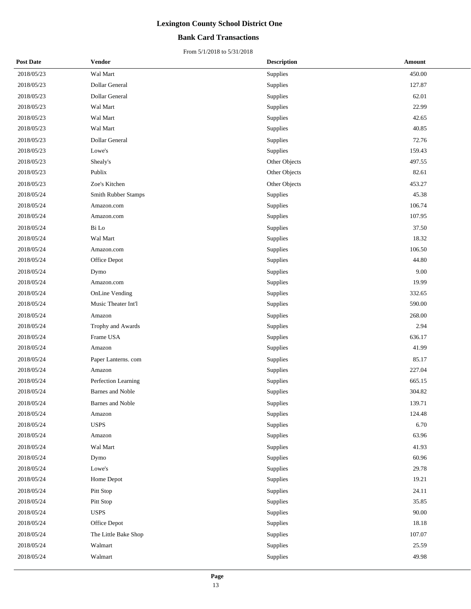### **Bank Card Transactions**

| <b>Post Date</b> | <b>Vendor</b>           | <b>Description</b> | Amount |
|------------------|-------------------------|--------------------|--------|
| 2018/05/23       | Wal Mart                | Supplies           | 450.00 |
| 2018/05/23       | Dollar General          | Supplies           | 127.87 |
| 2018/05/23       | Dollar General          | Supplies           | 62.01  |
| 2018/05/23       | Wal Mart                | Supplies           | 22.99  |
| 2018/05/23       | Wal Mart                | Supplies           | 42.65  |
| 2018/05/23       | Wal Mart                | Supplies           | 40.85  |
| 2018/05/23       | Dollar General          | Supplies           | 72.76  |
| 2018/05/23       | Lowe's                  | Supplies           | 159.43 |
| 2018/05/23       | Shealy's                | Other Objects      | 497.55 |
| 2018/05/23       | Publix                  | Other Objects      | 82.61  |
| 2018/05/23       | Zoe's Kitchen           | Other Objects      | 453.27 |
| 2018/05/24       | Smith Rubber Stamps     | Supplies           | 45.38  |
| 2018/05/24       | Amazon.com              | Supplies           | 106.74 |
| 2018/05/24       | Amazon.com              | Supplies           | 107.95 |
| 2018/05/24       | Bi Lo                   | Supplies           | 37.50  |
| 2018/05/24       | Wal Mart                | Supplies           | 18.32  |
| 2018/05/24       | Amazon.com              | Supplies           | 106.50 |
| 2018/05/24       | Office Depot            | Supplies           | 44.80  |
| 2018/05/24       | Dymo                    | Supplies           | 9.00   |
| 2018/05/24       | Amazon.com              | Supplies           | 19.99  |
| 2018/05/24       | OnLine Vending          | Supplies           | 332.65 |
| 2018/05/24       | Music Theater Int'l     | Supplies           | 590.00 |
| 2018/05/24       | Amazon                  | Supplies           | 268.00 |
| 2018/05/24       | Trophy and Awards       | Supplies           | 2.94   |
| 2018/05/24       | Frame USA               | Supplies           | 636.17 |
| 2018/05/24       | Amazon                  | Supplies           | 41.99  |
| 2018/05/24       | Paper Lanterns. com     | Supplies           | 85.17  |
| 2018/05/24       | Amazon                  | Supplies           | 227.04 |
| 2018/05/24       | Perfection Learning     | Supplies           | 665.15 |
| 2018/05/24       | <b>Barnes and Noble</b> | Supplies           | 304.82 |
| 2018/05/24       | Barnes and Noble        | Supplies           | 139.71 |
| 2018/05/24       | Amazon                  | Supplies           | 124.48 |
| 2018/05/24       | <b>USPS</b>             | Supplies           | 6.70   |
| 2018/05/24       | Amazon                  | Supplies           | 63.96  |
| 2018/05/24       | Wal Mart                | Supplies           | 41.93  |
| 2018/05/24       | Dymo                    | Supplies           | 60.96  |
| 2018/05/24       | Lowe's                  | Supplies           | 29.78  |
| 2018/05/24       | Home Depot              | Supplies           | 19.21  |
| 2018/05/24       | Pitt Stop               | Supplies           | 24.11  |
| 2018/05/24       | Pitt Stop               | Supplies           | 35.85  |
| 2018/05/24       | <b>USPS</b>             | Supplies           | 90.00  |
| 2018/05/24       | Office Depot            | Supplies           | 18.18  |
| 2018/05/24       | The Little Bake Shop    | Supplies           | 107.07 |
| 2018/05/24       | Walmart                 | Supplies           | 25.59  |
| 2018/05/24       | Walmart                 | Supplies           | 49.98  |
|                  |                         |                    |        |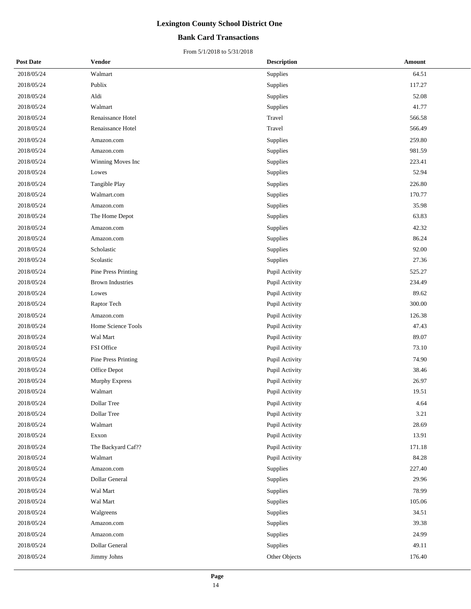### **Bank Card Transactions**

| <b>Post Date</b> | <b>Vendor</b>           | <b>Description</b> | Amount |
|------------------|-------------------------|--------------------|--------|
| 2018/05/24       | Walmart                 | Supplies           | 64.51  |
| 2018/05/24       | Publix                  | Supplies           | 117.27 |
| 2018/05/24       | Aldi                    | Supplies           | 52.08  |
| 2018/05/24       | Walmart                 | Supplies           | 41.77  |
| 2018/05/24       | Renaissance Hotel       | Travel             | 566.58 |
| 2018/05/24       | Renaissance Hotel       | Travel             | 566.49 |
| 2018/05/24       | Amazon.com              | Supplies           | 259.80 |
| 2018/05/24       | Amazon.com              | Supplies           | 981.59 |
| 2018/05/24       | Winning Moves Inc       | Supplies           | 223.41 |
| 2018/05/24       | Lowes                   | Supplies           | 52.94  |
| 2018/05/24       | Tangible Play           | Supplies           | 226.80 |
| 2018/05/24       | Walmart.com             | Supplies           | 170.77 |
| 2018/05/24       | Amazon.com              | Supplies           | 35.98  |
| 2018/05/24       | The Home Depot          | Supplies           | 63.83  |
| 2018/05/24       | Amazon.com              | Supplies           | 42.32  |
| 2018/05/24       | Amazon.com              | Supplies           | 86.24  |
| 2018/05/24       | Scholastic              | Supplies           | 92.00  |
| 2018/05/24       | Scolastic               | Supplies           | 27.36  |
| 2018/05/24       | Pine Press Printing     | Pupil Activity     | 525.27 |
| 2018/05/24       | <b>Brown Industries</b> | Pupil Activity     | 234.49 |
| 2018/05/24       | Lowes                   | Pupil Activity     | 89.62  |
| 2018/05/24       | Raptor Tech             | Pupil Activity     | 300.00 |
| 2018/05/24       | Amazon.com              | Pupil Activity     | 126.38 |
| 2018/05/24       | Home Science Tools      | Pupil Activity     | 47.43  |
| 2018/05/24       | Wal Mart                | Pupil Activity     | 89.07  |
| 2018/05/24       | FSI Office              | Pupil Activity     | 73.10  |
| 2018/05/24       | Pine Press Printing     | Pupil Activity     | 74.90  |
| 2018/05/24       | Office Depot            | Pupil Activity     | 38.46  |
| 2018/05/24       | Murphy Express          | Pupil Activity     | 26.97  |
| 2018/05/24       | Walmart                 | Pupil Activity     | 19.51  |
| 2018/05/24       | Dollar Tree             | Pupil Activity     | 4.64   |
| 2018/05/24       | Dollar Tree             | Pupil Activity     | 3.21   |
| 2018/05/24       | Walmart                 | Pupil Activity     | 28.69  |
| 2018/05/24       | Exxon                   | Pupil Activity     | 13.91  |
| 2018/05/24       | The Backyard Caf??      | Pupil Activity     | 171.18 |
| 2018/05/24       | Walmart                 | Pupil Activity     | 84.28  |
| 2018/05/24       | Amazon.com              | Supplies           | 227.40 |
| 2018/05/24       | Dollar General          | Supplies           | 29.96  |
| 2018/05/24       | Wal Mart                | Supplies           | 78.99  |
| 2018/05/24       | Wal Mart                | Supplies           | 105.06 |
| 2018/05/24       | Walgreens               | Supplies           | 34.51  |
| 2018/05/24       | Amazon.com              | Supplies           | 39.38  |
| 2018/05/24       | Amazon.com              | Supplies           | 24.99  |
| 2018/05/24       | Dollar General          | Supplies           | 49.11  |
| 2018/05/24       | Jimmy Johns             | Other Objects      | 176.40 |
|                  |                         |                    |        |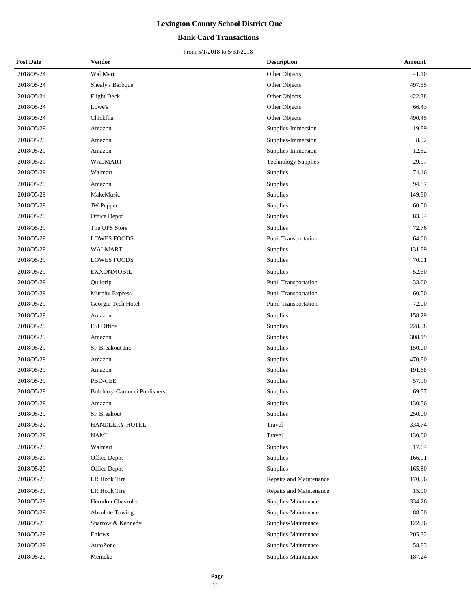### **Bank Card Transactions**

| <b>Post Date</b> | Vendor                       | <b>Description</b>          | Amount |
|------------------|------------------------------|-----------------------------|--------|
| 2018/05/24       | Wal Mart                     | Other Objects               | 41.10  |
| 2018/05/24       | Shealy's Barbque             | Other Objects               | 497.55 |
| 2018/05/24       | <b>Flight Deck</b>           | Other Objects               | 422.38 |
| 2018/05/24       | Lowe's                       | Other Objects               | 66.43  |
| 2018/05/24       | Chickfila                    | Other Objects               | 490.45 |
| 2018/05/29       | Amazon                       | Supplies-Immersion          | 19.89  |
| 2018/05/29       | Amazon                       | Supplies-Immersion          | 8.92   |
| 2018/05/29       | Amazon                       | Supplies-Immersion          | 12.52  |
| 2018/05/29       | <b>WALMART</b>               | <b>Technology Supplies</b>  | 29.97  |
| 2018/05/29       | Walmart                      | Supplies                    | 74.16  |
| 2018/05/29       | Amazon                       | Supplies                    | 94.87  |
| 2018/05/29       | MakeMusic                    | Supplies                    | 149.80 |
| 2018/05/29       | JW Pepper                    | Supplies                    | 60.00  |
| 2018/05/29       | Office Depot                 | Supplies                    | 83.94  |
| 2018/05/29       | The UPS Store                | Supplies                    | 72.76  |
| 2018/05/29       | <b>LOWES FOODS</b>           | Pupil Transportation        | 64.00  |
| 2018/05/29       | WALMART                      | Supplies                    | 131.89 |
| 2018/05/29       | <b>LOWES FOODS</b>           | Supplies                    | 70.01  |
| 2018/05/29       | <b>EXXONMOBIL</b>            | Supplies                    | 52.60  |
| 2018/05/29       | Quiktrip                     | <b>Pupil Transportation</b> | 33.00  |
| 2018/05/29       | <b>Murphy Express</b>        | Pupil Transportation        | 60.50  |
| 2018/05/29       | Georgia Tech Hotel           | Pupil Transportation        | 72.00  |
| 2018/05/29       | Amazon                       | Supplies                    | 158.29 |
| 2018/05/29       | FSI Office                   | Supplies                    | 228.98 |
| 2018/05/29       | Amazon                       | Supplies                    | 308.19 |
| 2018/05/29       | SP Breakout Inc              | Supplies                    | 150.00 |
| 2018/05/29       | Amazon                       | Supplies                    | 470.80 |
| 2018/05/29       | Amazon                       | Supplies                    | 191.68 |
| 2018/05/29       | PBD-CEE                      | Supplies                    | 57.90  |
| 2018/05/29       | Bolchazy-Carducci Publishers | Supplies                    | 69.57  |
| 2018/05/29       | Amazon                       | Supplies                    | 130.56 |
| 2018/05/29       | SP Breakout                  | Supplies                    | 250.00 |
| 2018/05/29       | <b>HANDLERY HOTEL</b>        | Travel                      | 334.74 |
| 2018/05/29       | NAMI                         | Travel                      | 130.00 |
| 2018/05/29       | Walmart                      | Supplies                    | 17.64  |
| 2018/05/29       | Office Depot                 | Supplies                    | 166.91 |
| 2018/05/29       | Office Depot                 | Supplies                    | 165.80 |
| 2018/05/29       | LR Hook Tire                 | Repairs and Maintenance     | 170.96 |
| 2018/05/29       | LR Hook Tire                 | Repairs and Maintenance     | 15.00  |
| 2018/05/29       | Herndon Chevrolet            | Supplies-Maintenace         | 334.26 |
| 2018/05/29       | <b>Absolute Towing</b>       | Supplies-Maintenace         | 88.00  |
| 2018/05/29       | Sparrow & Kennedy            | Supplies-Maintenace         | 122.26 |
| 2018/05/29       | Enlows                       | Supplies-Maintenace         | 205.32 |
| 2018/05/29       | AutoZone                     | Supplies-Maintenace         | 58.83  |
| 2018/05/29       | Meineke                      | Supplies-Maintenace         | 187.24 |
|                  |                              |                             |        |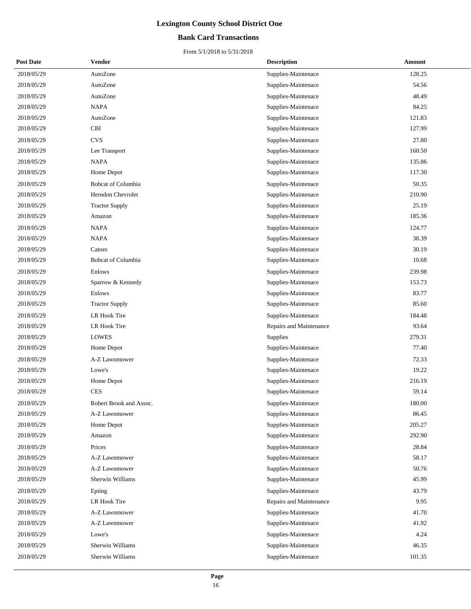### **Bank Card Transactions**

| <b>Post Date</b> | <b>Vendor</b>             | <b>Description</b>      | Amount |
|------------------|---------------------------|-------------------------|--------|
| 2018/05/29       | AutoZone                  | Supplies-Maintenace     | 128.25 |
| 2018/05/29       | AutoZone                  | Supplies-Maintenace     | 54.56  |
| 2018/05/29       | AutoZone                  | Supplies-Maintenace     | 48.49  |
| 2018/05/29       | <b>NAPA</b>               | Supplies-Maintenace     | 84.25  |
| 2018/05/29       | AutoZone                  | Supplies-Maintenace     | 121.83 |
| 2018/05/29       | <b>CBI</b>                | Supplies-Maintenace     | 127.99 |
| 2018/05/29       | <b>CVS</b>                | Supplies-Maintenace     | 27.80  |
| 2018/05/29       | Lee Transport             | Supplies-Maintenace     | 160.50 |
| 2018/05/29       | <b>NAPA</b>               | Supplies-Maintenace     | 135.86 |
| 2018/05/29       | Home Depot                | Supplies-Maintenace     | 117.30 |
| 2018/05/29       | <b>Bobcat of Columbia</b> | Supplies-Maintenace     | 50.35  |
| 2018/05/29       | Herndon Chevrolet         | Supplies-Maintenace     | 210.90 |
| 2018/05/29       | <b>Tractor Supply</b>     | Supplies-Maintenace     | 25.19  |
| 2018/05/29       | Amazon                    | Supplies-Maintenace     | 185.36 |
| 2018/05/29       | <b>NAPA</b>               | Supplies-Maintenace     | 124.77 |
| 2018/05/29       | <b>NAPA</b>               | Supplies-Maintenace     | 38.39  |
| 2018/05/29       | Catoes                    | Supplies-Maintenace     | 30.19  |
| 2018/05/29       | <b>Bobcat of Columbia</b> | Supplies-Maintenace     | 10.68  |
| 2018/05/29       | Enlows                    | Supplies-Maintenace     | 239.98 |
| 2018/05/29       | Sparrow & Kennedy         | Supplies-Maintenace     | 153.73 |
| 2018/05/29       | Enlows                    | Supplies-Maintenace     | 83.77  |
| 2018/05/29       | <b>Tractor Supply</b>     | Supplies-Maintenace     | 85.60  |
| 2018/05/29       | LR Hook Tire              | Supplies-Maintenace     | 184.48 |
| 2018/05/29       | LR Hook Tire              | Repairs and Maintenance | 93.64  |
| 2018/05/29       | <b>LOWES</b>              | Supplies                | 279.31 |
| 2018/05/29       | Home Depot                | Supplies-Maintenace     | 77.40  |
| 2018/05/29       | A-Z Lawnmower             | Supplies-Maintenace     | 72.33  |
| 2018/05/29       | Lowe's                    | Supplies-Maintenace     | 19.22  |
| 2018/05/29       | Home Depot                | Supplies-Maintenace     | 216.19 |
| 2018/05/29       | <b>CES</b>                | Supplies-Maintenace     | 59.14  |
| 2018/05/29       | Robert Brook and Assoc.   | Supplies-Maintenace     | 180.00 |
| 2018/05/29       | A-Z Lawnmower             | Supplies-Maintenace     | 86.45  |
| 2018/05/29       | Home Depot                | Supplies-Maintenace     | 205.27 |
| 2018/05/29       | Amazon                    | Supplies-Maintenace     | 292.90 |
| 2018/05/29       | Prices                    | Supplies-Maintenace     | 28.84  |
| 2018/05/29       | A-Z Lawnmower             | Supplies-Maintenace     | 58.17  |
| 2018/05/29       | A-Z Lawnmower             | Supplies-Maintenace     | 50.76  |
| 2018/05/29       | Sherwin Williams          | Supplies-Maintenace     | 45.99  |
| 2018/05/29       | Epting                    | Supplies-Maintenace     | 43.79  |
| 2018/05/29       | LR Hook Tire              | Repairs and Maintenance | 9.95   |
| 2018/05/29       | A-Z Lawnmower             | Supplies-Maintenace     | 41.70  |
| 2018/05/29       | A-Z Lawnmower             | Supplies-Maintenace     | 41.92  |
| 2018/05/29       | Lowe's                    | Supplies-Maintenace     | 4.24   |
| 2018/05/29       | Sherwin Williams          | Supplies-Maintenace     | 46.35  |
| 2018/05/29       | Sherwin Williams          | Supplies-Maintenace     | 101.35 |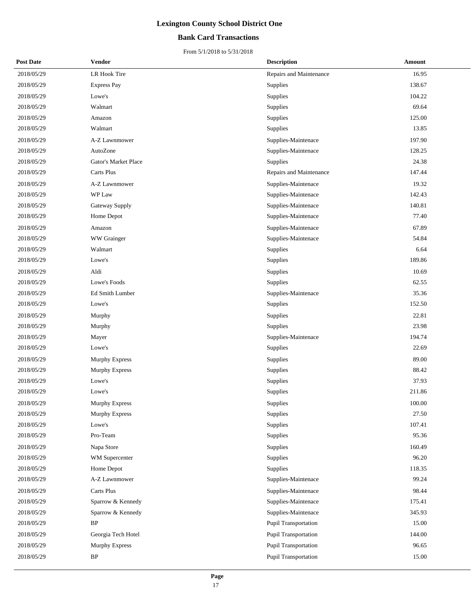### **Bank Card Transactions**

| <b>Post Date</b> | <b>Vendor</b>         | <b>Description</b>          | Amount |
|------------------|-----------------------|-----------------------------|--------|
| 2018/05/29       | LR Hook Tire          | Repairs and Maintenance     | 16.95  |
| 2018/05/29       | <b>Express Pay</b>    | Supplies                    | 138.67 |
| 2018/05/29       | Lowe's                | Supplies                    | 104.22 |
| 2018/05/29       | Walmart               | <b>Supplies</b>             | 69.64  |
| 2018/05/29       | Amazon                | Supplies                    | 125.00 |
| 2018/05/29       | Walmart               | Supplies                    | 13.85  |
| 2018/05/29       | A-Z Lawnmower         | Supplies-Maintenace         | 197.90 |
| 2018/05/29       | AutoZone              | Supplies-Maintenace         | 128.25 |
| 2018/05/29       | Gator's Market Place  | Supplies                    | 24.38  |
| 2018/05/29       | Carts Plus            | Repairs and Maintenance     | 147.44 |
| 2018/05/29       | A-Z Lawnmower         | Supplies-Maintenace         | 19.32  |
| 2018/05/29       | WP Law                | Supplies-Maintenace         | 142.43 |
| 2018/05/29       | Gateway Supply        | Supplies-Maintenace         | 140.81 |
| 2018/05/29       | Home Depot            | Supplies-Maintenace         | 77.40  |
| 2018/05/29       | Amazon                | Supplies-Maintenace         | 67.89  |
| 2018/05/29       | WW Grainger           | Supplies-Maintenace         | 54.84  |
| 2018/05/29       | Walmart               | Supplies                    | 6.64   |
| 2018/05/29       | Lowe's                | Supplies                    | 189.86 |
| 2018/05/29       | Aldi                  | Supplies                    | 10.69  |
| 2018/05/29       | Lowe's Foods          | Supplies                    | 62.55  |
| 2018/05/29       | Ed Smith Lumber       | Supplies-Maintenace         | 35.36  |
| 2018/05/29       | Lowe's                | Supplies                    | 152.50 |
| 2018/05/29       | Murphy                | Supplies                    | 22.81  |
| 2018/05/29       | Murphy                | <b>Supplies</b>             | 23.98  |
| 2018/05/29       | Mayer                 | Supplies-Maintenace         | 194.74 |
| 2018/05/29       | Lowe's                | Supplies                    | 22.69  |
| 2018/05/29       | Murphy Express        | Supplies                    | 89.00  |
| 2018/05/29       | <b>Murphy Express</b> | Supplies                    | 88.42  |
| 2018/05/29       | Lowe's                | Supplies                    | 37.93  |
| 2018/05/29       | Lowe's                | Supplies                    | 211.86 |
| 2018/05/29       | Murphy Express        | Supplies                    | 100.00 |
| 2018/05/29       | <b>Murphy Express</b> | Supplies                    | 27.50  |
| 2018/05/29       | Lowe's                | Supplies                    | 107.41 |
| 2018/05/29       | Pro-Team              | Supplies                    | 95.36  |
| 2018/05/29       | Napa Store            | Supplies                    | 160.49 |
| 2018/05/29       | WM Supercenter        | Supplies                    | 96.20  |
| 2018/05/29       | Home Depot            | Supplies                    | 118.35 |
| 2018/05/29       | A-Z Lawnmower         | Supplies-Maintenace         | 99.24  |
| 2018/05/29       | Carts Plus            | Supplies-Maintenace         | 98.44  |
| 2018/05/29       | Sparrow & Kennedy     | Supplies-Maintenace         | 175.41 |
| 2018/05/29       | Sparrow & Kennedy     | Supplies-Maintenace         | 345.93 |
| 2018/05/29       | BP                    | Pupil Transportation        | 15.00  |
| 2018/05/29       | Georgia Tech Hotel    | Pupil Transportation        | 144.00 |
| 2018/05/29       | <b>Murphy Express</b> | Pupil Transportation        | 96.65  |
| 2018/05/29       | BP                    | <b>Pupil Transportation</b> | 15.00  |
|                  |                       |                             |        |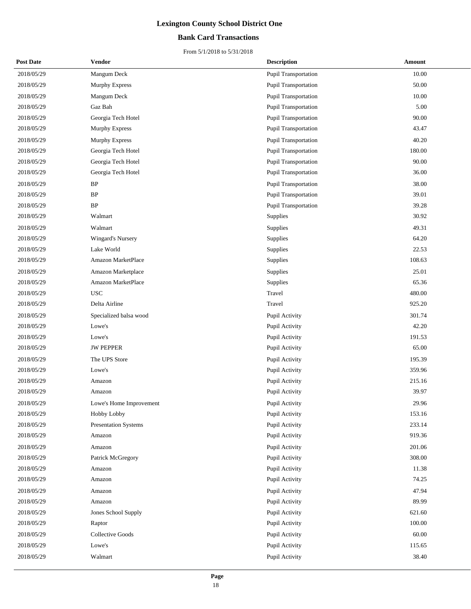### **Bank Card Transactions**

| <b>Post Date</b> | Vendor                      | <b>Description</b>          | Amount |
|------------------|-----------------------------|-----------------------------|--------|
| 2018/05/29       | Mangum Deck                 | <b>Pupil Transportation</b> | 10.00  |
| 2018/05/29       | Murphy Express              | Pupil Transportation        | 50.00  |
| 2018/05/29       | Mangum Deck                 | <b>Pupil Transportation</b> | 10.00  |
| 2018/05/29       | Gaz Bah                     | <b>Pupil Transportation</b> | 5.00   |
| 2018/05/29       | Georgia Tech Hotel          | <b>Pupil Transportation</b> | 90.00  |
| 2018/05/29       | Murphy Express              | Pupil Transportation        | 43.47  |
| 2018/05/29       | Murphy Express              | <b>Pupil Transportation</b> | 40.20  |
| 2018/05/29       | Georgia Tech Hotel          | <b>Pupil Transportation</b> | 180.00 |
| 2018/05/29       | Georgia Tech Hotel          | <b>Pupil Transportation</b> | 90.00  |
| 2018/05/29       | Georgia Tech Hotel          | Pupil Transportation        | 36.00  |
| 2018/05/29       | $\rm BP$                    | <b>Pupil Transportation</b> | 38.00  |
| 2018/05/29       | $\rm BP$                    | Pupil Transportation        | 39.01  |
| 2018/05/29       | $\rm BP$                    | Pupil Transportation        | 39.28  |
| 2018/05/29       | Walmart                     | Supplies                    | 30.92  |
| 2018/05/29       | Walmart                     | Supplies                    | 49.31  |
| 2018/05/29       | <b>Wingard's Nursery</b>    | Supplies                    | 64.20  |
| 2018/05/29       | Lake World                  | Supplies                    | 22.53  |
| 2018/05/29       | Amazon MarketPlace          | Supplies                    | 108.63 |
| 2018/05/29       | Amazon Marketplace          | Supplies                    | 25.01  |
| 2018/05/29       | Amazon MarketPlace          | Supplies                    | 65.36  |
| 2018/05/29       | <b>USC</b>                  | Travel                      | 480.00 |
| 2018/05/29       | Delta Airline               | Travel                      | 925.20 |
| 2018/05/29       | Specialized balsa wood      | Pupil Activity              | 301.74 |
| 2018/05/29       | Lowe's                      | Pupil Activity              | 42.20  |
| 2018/05/29       | Lowe's                      | Pupil Activity              | 191.53 |
| 2018/05/29       | <b>JW PEPPER</b>            | Pupil Activity              | 65.00  |
| 2018/05/29       | The UPS Store               | Pupil Activity              | 195.39 |
| 2018/05/29       | Lowe's                      | Pupil Activity              | 359.96 |
| 2018/05/29       | Amazon                      | Pupil Activity              | 215.16 |
| 2018/05/29       | Amazon                      | Pupil Activity              | 39.97  |
| 2018/05/29       | Lowe's Home Improvement     | Pupil Activity              | 29.96  |
| 2018/05/29       | Hobby Lobby                 | Pupil Activity              | 153.16 |
| 2018/05/29       | <b>Presentation Systems</b> | Pupil Activity              | 233.14 |
| 2018/05/29       | Amazon                      | Pupil Activity              | 919.36 |
| 2018/05/29       | Amazon                      | Pupil Activity              | 201.06 |
| 2018/05/29       | Patrick McGregory           | Pupil Activity              | 308.00 |
| 2018/05/29       | Amazon                      | Pupil Activity              | 11.38  |
| 2018/05/29       | Amazon                      | Pupil Activity              | 74.25  |
| 2018/05/29       | Amazon                      | Pupil Activity              | 47.94  |
| 2018/05/29       | Amazon                      | Pupil Activity              | 89.99  |
| 2018/05/29       | Jones School Supply         | Pupil Activity              | 621.60 |
| 2018/05/29       | Raptor                      | Pupil Activity              | 100.00 |
| 2018/05/29       | Collective Goods            | Pupil Activity              | 60.00  |
| 2018/05/29       | Lowe's                      | Pupil Activity              | 115.65 |
| 2018/05/29       | Walmart                     | Pupil Activity              | 38.40  |
|                  |                             |                             |        |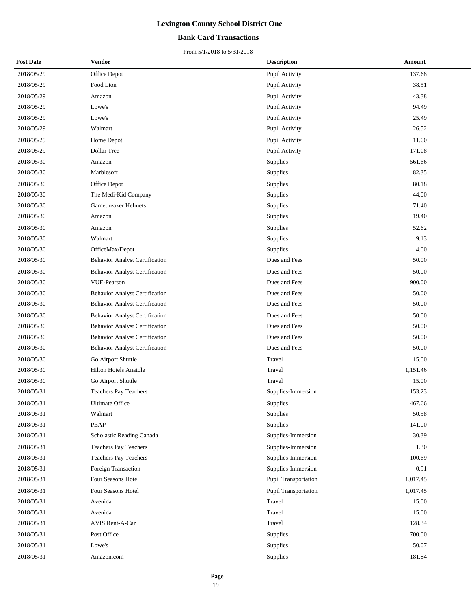### **Bank Card Transactions**

| <b>Post Date</b> | <b>Vendor</b>                         | <b>Description</b>   | Amount   |
|------------------|---------------------------------------|----------------------|----------|
| 2018/05/29       | Office Depot                          | Pupil Activity       | 137.68   |
| 2018/05/29       | Food Lion                             | Pupil Activity       | 38.51    |
| 2018/05/29       | Amazon                                | Pupil Activity       | 43.38    |
| 2018/05/29       | Lowe's                                | Pupil Activity       | 94.49    |
| 2018/05/29       | Lowe's                                | Pupil Activity       | 25.49    |
| 2018/05/29       | Walmart                               | Pupil Activity       | 26.52    |
| 2018/05/29       | Home Depot                            | Pupil Activity       | 11.00    |
| 2018/05/29       | Dollar Tree                           | Pupil Activity       | 171.08   |
| 2018/05/30       | Amazon                                | Supplies             | 561.66   |
| 2018/05/30       | Marblesoft                            | Supplies             | 82.35    |
| 2018/05/30       | Office Depot                          | Supplies             | 80.18    |
| 2018/05/30       | The Medi-Kid Company                  | Supplies             | 44.00    |
| 2018/05/30       | Gamebreaker Helmets                   | Supplies             | 71.40    |
| 2018/05/30       | Amazon                                | Supplies             | 19.40    |
| 2018/05/30       | Amazon                                | Supplies             | 52.62    |
| 2018/05/30       | Walmart                               | Supplies             | 9.13     |
| 2018/05/30       | OfficeMax/Depot                       | Supplies             | 4.00     |
| 2018/05/30       | <b>Behavior Analyst Certification</b> | Dues and Fees        | 50.00    |
| 2018/05/30       | <b>Behavior Analyst Certification</b> | Dues and Fees        | 50.00    |
| 2018/05/30       | VUE-Pearson                           | Dues and Fees        | 900.00   |
| 2018/05/30       | <b>Behavior Analyst Certification</b> | Dues and Fees        | 50.00    |
| 2018/05/30       | <b>Behavior Analyst Certification</b> | Dues and Fees        | 50.00    |
| 2018/05/30       | <b>Behavior Analyst Certification</b> | Dues and Fees        | 50.00    |
| 2018/05/30       | <b>Behavior Analyst Certification</b> | Dues and Fees        | 50.00    |
| 2018/05/30       | <b>Behavior Analyst Certification</b> | Dues and Fees        | 50.00    |
| 2018/05/30       | <b>Behavior Analyst Certification</b> | Dues and Fees        | 50.00    |
| 2018/05/30       | Go Airport Shuttle                    | Travel               | 15.00    |
| 2018/05/30       | <b>Hilton Hotels Anatole</b>          | Travel               | 1,151.46 |
| 2018/05/30       | Go Airport Shuttle                    | Travel               | 15.00    |
| 2018/05/31       | <b>Teachers Pay Teachers</b>          | Supplies-Immersion   | 153.23   |
| 2018/05/31       | Ultimate Office                       | Supplies             | 467.66   |
| 2018/05/31       | Walmart                               | Supplies             | 50.58    |
| 2018/05/31       | <b>PEAP</b>                           | Supplies             | 141.00   |
| 2018/05/31       | Scholastic Reading Canada             | Supplies-Immersion   | 30.39    |
| 2018/05/31       | Teachers Pay Teachers                 | Supplies-Immersion   | 1.30     |
| 2018/05/31       | Teachers Pay Teachers                 | Supplies-Immersion   | 100.69   |
| 2018/05/31       | Foreign Transaction                   | Supplies-Immersion   | 0.91     |
| 2018/05/31       | Four Seasons Hotel                    | Pupil Transportation | 1,017.45 |
| 2018/05/31       | Four Seasons Hotel                    | Pupil Transportation | 1,017.45 |
| 2018/05/31       | Avenida                               | Travel               | 15.00    |
| 2018/05/31       | Avenida                               | Travel               | 15.00    |
| 2018/05/31       | <b>AVIS Rent-A-Car</b>                | Travel               | 128.34   |
| 2018/05/31       | Post Office                           | Supplies             | 700.00   |
| 2018/05/31       | Lowe's                                | Supplies             | 50.07    |
| 2018/05/31       | Amazon.com                            | Supplies             | 181.84   |
|                  |                                       |                      |          |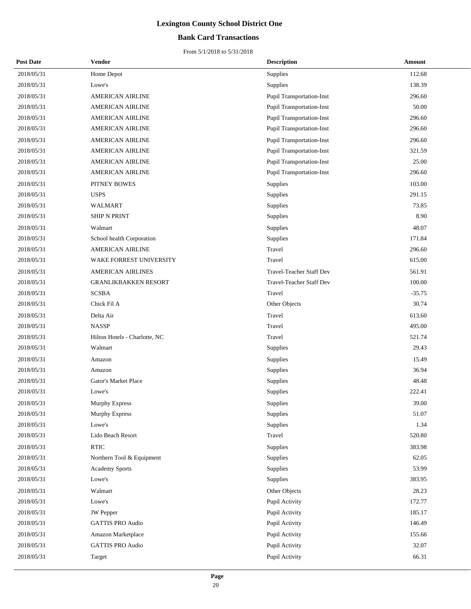### **Bank Card Transactions**

| <b>Post Date</b> | <b>Vendor</b>                 | <b>Description</b>               | <b>Amount</b> |
|------------------|-------------------------------|----------------------------------|---------------|
| 2018/05/31       | Home Depot                    | Supplies                         | 112.68        |
| 2018/05/31       | Lowe's                        | Supplies                         | 138.39        |
| 2018/05/31       | <b>AMERICAN AIRLINE</b>       | <b>Pupil Transportation-Inst</b> | 296.60        |
| 2018/05/31       | <b>AMERICAN AIRLINE</b>       | <b>Pupil Transportation-Inst</b> | 50.00         |
| 2018/05/31       | <b>AMERICAN AIRLINE</b>       | <b>Pupil Transportation-Inst</b> | 296.60        |
| 2018/05/31       | <b>AMERICAN AIRLINE</b>       | <b>Pupil Transportation-Inst</b> | 296.60        |
| 2018/05/31       | <b>AMERICAN AIRLINE</b>       | <b>Pupil Transportation-Inst</b> | 296.60        |
| 2018/05/31       | <b>AMERICAN AIRLINE</b>       | <b>Pupil Transportation-Inst</b> | 321.59        |
| 2018/05/31       | <b>AMERICAN AIRLINE</b>       | <b>Pupil Transportation-Inst</b> | 25.00         |
| 2018/05/31       | <b>AMERICAN AIRLINE</b>       | <b>Pupil Transportation-Inst</b> | 296.60        |
| 2018/05/31       | PITNEY BOWES                  | Supplies                         | 103.00        |
| 2018/05/31       | <b>USPS</b>                   | Supplies                         | 291.15        |
| 2018/05/31       | WALMART                       | Supplies                         | 73.85         |
| 2018/05/31       | <b>SHIP N PRINT</b>           | Supplies                         | 8.90          |
| 2018/05/31       | Walmart                       | Supplies                         | 48.07         |
| 2018/05/31       | School health Corporation     | Supplies                         | 171.84        |
| 2018/05/31       | <b>AMERICAN AIRLINE</b>       | Travel                           | 296.60        |
| 2018/05/31       | WAKE FORREST UNIVERSITY       | Travel                           | 615.00        |
| 2018/05/31       | <b>AMERICAN AIRLINES</b>      | Travel-Teacher Staff Dev         | 561.91        |
| 2018/05/31       | <b>GRANLIKBAKKEN RESORT</b>   | Travel-Teacher Staff Dev         | 100.00        |
| 2018/05/31       | <b>SCSBA</b>                  | Travel                           | $-35.75$      |
| 2018/05/31       | Chick Fil A                   | Other Objects                    | 30.74         |
| 2018/05/31       | Delta Air                     | Travel                           | 613.60        |
| 2018/05/31       | <b>NASSP</b>                  | Travel                           | 495.00        |
| 2018/05/31       | Hilton Hotels - Charlotte, NC | Travel                           | 521.74        |
| 2018/05/31       | Walmart                       | Supplies                         | 29.43         |
| 2018/05/31       | Amazon                        | Supplies                         | 15.49         |
| 2018/05/31       | Amazon                        | Supplies                         | 36.94         |
| 2018/05/31       | Gator's Market Place          | Supplies                         | 48.48         |
| 2018/05/31       | Lowe's                        | Supplies                         | 222.41        |
| 2018/05/31       | Murphy Express                | Supplies                         | 39.00         |
| 2018/05/31       | <b>Murphy Express</b>         | Supplies                         | 51.07         |
| 2018/05/31       | Lowe's                        | Supplies                         | 1.34          |
| 2018/05/31       | Lido Beach Resort             | Travel                           | 520.80        |
| 2018/05/31       | <b>RTIC</b>                   | Supplies                         | 383.98        |
| 2018/05/31       | Northern Tool & Equipment     | Supplies                         | 62.05         |
| 2018/05/31       | <b>Academy Sports</b>         | Supplies                         | 53.99         |
| 2018/05/31       | Lowe's                        | Supplies                         | 383.95        |
| 2018/05/31       | Walmart                       | Other Objects                    | 28.23         |
| 2018/05/31       | Lowe's                        | Pupil Activity                   | 172.77        |
| 2018/05/31       | JW Pepper                     | Pupil Activity                   | 185.17        |
| 2018/05/31       | <b>GATTIS PRO Audio</b>       | Pupil Activity                   | 146.49        |
| 2018/05/31       | Amazon Marketplace            | Pupil Activity                   | 155.66        |
| 2018/05/31       | <b>GATTIS PRO Audio</b>       | Pupil Activity                   | 32.07         |
| 2018/05/31       | Target                        | Pupil Activity                   | 66.31         |
|                  |                               |                                  |               |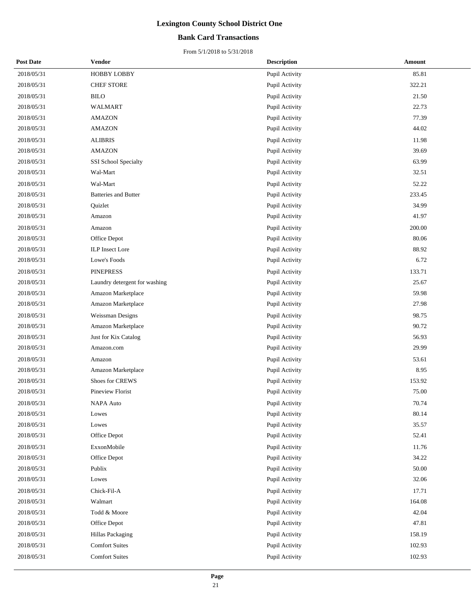### **Bank Card Transactions**

| <b>Post Date</b> | Vendor                        | <b>Description</b> | Amount |
|------------------|-------------------------------|--------------------|--------|
| 2018/05/31       | HOBBY LOBBY                   | Pupil Activity     | 85.81  |
| 2018/05/31       | <b>CHEF STORE</b>             | Pupil Activity     | 322.21 |
| 2018/05/31       | <b>BILO</b>                   | Pupil Activity     | 21.50  |
| 2018/05/31       | <b>WALMART</b>                | Pupil Activity     | 22.73  |
| 2018/05/31       | <b>AMAZON</b>                 | Pupil Activity     | 77.39  |
| 2018/05/31       | <b>AMAZON</b>                 | Pupil Activity     | 44.02  |
| 2018/05/31       | <b>ALIBRIS</b>                | Pupil Activity     | 11.98  |
| 2018/05/31       | <b>AMAZON</b>                 | Pupil Activity     | 39.69  |
| 2018/05/31       | SSI School Specialty          | Pupil Activity     | 63.99  |
| 2018/05/31       | Wal-Mart                      | Pupil Activity     | 32.51  |
| 2018/05/31       | Wal-Mart                      | Pupil Activity     | 52.22  |
| 2018/05/31       | <b>Batteries and Butter</b>   | Pupil Activity     | 233.45 |
| 2018/05/31       | Quizlet                       | Pupil Activity     | 34.99  |
| 2018/05/31       | Amazon                        | Pupil Activity     | 41.97  |
| 2018/05/31       | Amazon                        | Pupil Activity     | 200.00 |
| 2018/05/31       | Office Depot                  | Pupil Activity     | 80.06  |
| 2018/05/31       | <b>ILP</b> Insect Lore        | Pupil Activity     | 88.92  |
| 2018/05/31       | Lowe's Foods                  | Pupil Activity     | 6.72   |
| 2018/05/31       | <b>PINEPRESS</b>              | Pupil Activity     | 133.71 |
| 2018/05/31       | Laundry detergent for washing | Pupil Activity     | 25.67  |
| 2018/05/31       | Amazon Marketplace            | Pupil Activity     | 59.98  |
| 2018/05/31       | Amazon Marketplace            | Pupil Activity     | 27.98  |
| 2018/05/31       | Weissman Designs              | Pupil Activity     | 98.75  |
| 2018/05/31       | Amazon Marketplace            | Pupil Activity     | 90.72  |
| 2018/05/31       | Just for Kix Catalog          | Pupil Activity     | 56.93  |
| 2018/05/31       | Amazon.com                    | Pupil Activity     | 29.99  |
| 2018/05/31       | Amazon                        | Pupil Activity     | 53.61  |
| 2018/05/31       | Amazon Marketplace            | Pupil Activity     | 8.95   |
| 2018/05/31       | Shoes for CREWS               | Pupil Activity     | 153.92 |
| 2018/05/31       | <b>Pineview Florist</b>       | Pupil Activity     | 75.00  |
| 2018/05/31       | <b>NAPA Auto</b>              | Pupil Activity     | 70.74  |
| 2018/05/31       | Lowes                         | Pupil Activity     | 80.14  |
| 2018/05/31       | Lowes                         | Pupil Activity     | 35.57  |
| 2018/05/31       | Office Depot                  | Pupil Activity     | 52.41  |
| 2018/05/31       | ExxonMobile                   | Pupil Activity     | 11.76  |
| 2018/05/31       | Office Depot                  | Pupil Activity     | 34.22  |
| 2018/05/31       | Publix                        | Pupil Activity     | 50.00  |
| 2018/05/31       | Lowes                         | Pupil Activity     | 32.06  |
| 2018/05/31       | Chick-Fil-A                   | Pupil Activity     | 17.71  |
| 2018/05/31       | Walmart                       | Pupil Activity     | 164.08 |
| 2018/05/31       | Todd $\&$ Moore               | Pupil Activity     | 42.04  |
| 2018/05/31       | Office Depot                  | Pupil Activity     | 47.81  |
| 2018/05/31       | Hillas Packaging              | Pupil Activity     | 158.19 |
| 2018/05/31       | <b>Comfort Suites</b>         | Pupil Activity     | 102.93 |
| 2018/05/31       | <b>Comfort Suites</b>         | Pupil Activity     | 102.93 |
|                  |                               |                    |        |